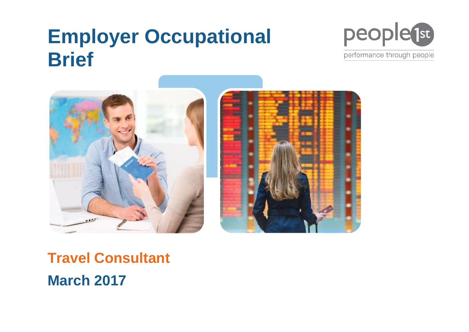# **Employer Occupational Brief**



performance through people



# **Travel Consultant March 2017**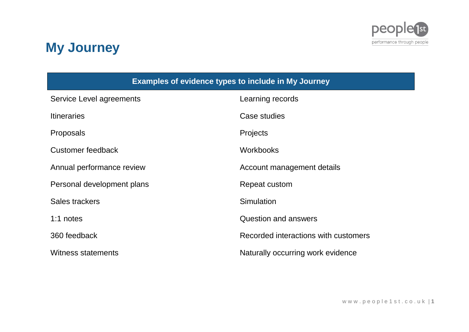

# **My Journey**

| <b>Examples of evidence types to include in My Journey</b> |                                      |
|------------------------------------------------------------|--------------------------------------|
| Service Level agreements                                   | Learning records                     |
| <b>Itineraries</b>                                         | Case studies                         |
| <b>Proposals</b>                                           | Projects                             |
| <b>Customer feedback</b>                                   | <b>Workbooks</b>                     |
| Annual performance review                                  | Account management details           |
| Personal development plans                                 | Repeat custom                        |
| Sales trackers                                             | Simulation                           |
| 1:1 notes                                                  | <b>Question and answers</b>          |
| 360 feedback                                               | Recorded interactions with customers |
| <b>Witness statements</b>                                  | Naturally occurring work evidence    |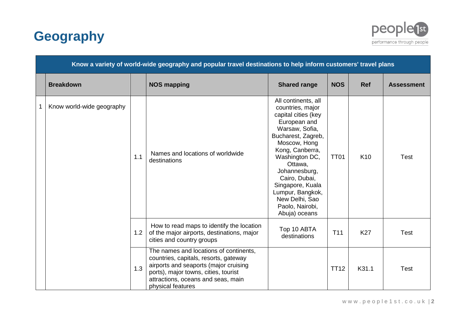



|   |                           |     | Know a variety of world-wide geography and popular travel destinations to help inform customers' travel plans                                                                                                               |                                                                                                                                                                                                                                                                                                                        |                 |                 |                   |
|---|---------------------------|-----|-----------------------------------------------------------------------------------------------------------------------------------------------------------------------------------------------------------------------------|------------------------------------------------------------------------------------------------------------------------------------------------------------------------------------------------------------------------------------------------------------------------------------------------------------------------|-----------------|-----------------|-------------------|
|   | <b>Breakdown</b>          |     | <b>NOS mapping</b>                                                                                                                                                                                                          | <b>Shared range</b>                                                                                                                                                                                                                                                                                                    | <b>NOS</b>      | <b>Ref</b>      | <b>Assessment</b> |
| 1 | Know world-wide geography | 1.1 | Names and locations of worldwide<br>destinations                                                                                                                                                                            | All continents, all<br>countries, major<br>capital cities (key<br>European and<br>Warsaw, Sofia,<br>Bucharest, Zagreb,<br>Moscow, Hong<br>Kong, Canberra,<br>Washington DC,<br>Ottawa,<br>Johannesburg,<br>Cairo, Dubai,<br>Singapore, Kuala<br>Lumpur, Bangkok,<br>New Delhi, Sao<br>Paolo, Nairobi,<br>Abuja) oceans | <b>TT01</b>     | K <sub>10</sub> | <b>Test</b>       |
|   |                           | 1.2 | How to read maps to identify the location<br>of the major airports, destinations, major<br>cities and country groups                                                                                                        | Top 10 ABTA<br>destinations                                                                                                                                                                                                                                                                                            | T <sub>11</sub> | <b>K27</b>      | <b>Test</b>       |
|   |                           | 1.3 | The names and locations of continents,<br>countries, capitals, resorts, gateway<br>airports and seaports (major cruising<br>ports), major towns, cities, tourist<br>attractions, oceans and seas, main<br>physical features |                                                                                                                                                                                                                                                                                                                        | <b>TT12</b>     | K31.1           | <b>Test</b>       |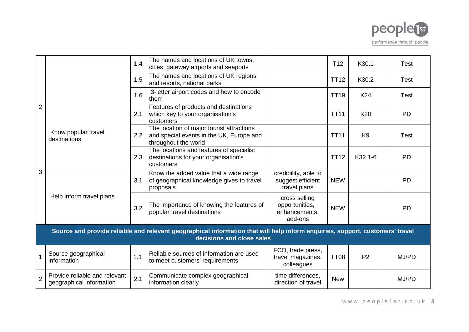

|                |                                                           | 1.4 | The names and locations of UK towns,<br>cities, gateway airports and seaports                                                                              |                                                              | T <sub>12</sub> | K30.1          | <b>Test</b> |
|----------------|-----------------------------------------------------------|-----|------------------------------------------------------------------------------------------------------------------------------------------------------------|--------------------------------------------------------------|-----------------|----------------|-------------|
|                |                                                           | 1.5 | The names and locations of UK regions<br>and resorts, national parks                                                                                       |                                                              | <b>TT12</b>     | K30.2          | <b>Test</b> |
|                |                                                           | 1.6 | 3-letter airport codes and how to encode<br>them                                                                                                           |                                                              | <b>TT19</b>     | K24            | <b>Test</b> |
| $\overline{2}$ |                                                           | 2.1 | Features of products and destinations<br>which key to your organisation's<br>customers                                                                     |                                                              | <b>TT11</b>     | K20            | <b>PD</b>   |
|                | Know popular travel<br>destinations                       | 2.2 | The location of major tourist attractions<br>and special events in the UK, Europe and<br>throughout the world                                              |                                                              | <b>TT11</b>     | K <sub>9</sub> | <b>Test</b> |
|                |                                                           | 2.3 | The locations and features of specialist<br>destinations for your organisation's<br>customers                                                              |                                                              | <b>TT12</b>     | K32.1-6        | <b>PD</b>   |
| 3              |                                                           | 3.1 | Know the added value that a wide range<br>of geographical knowledge gives to travel<br>proposals                                                           | credibility, able to<br>suggest efficient<br>travel plans    | <b>NEW</b>      |                | <b>PD</b>   |
|                | Help inform travel plans                                  | 3.2 | The importance of knowing the features of<br>popular travel destinations                                                                                   | cross selling<br>opportunities,,<br>enhancements,<br>add-ons | <b>NEW</b>      |                | <b>PD</b>   |
|                |                                                           |     | Source and provide reliable and relevant geographical information that will help inform enquiries, support, customers' travel<br>decisions and close sales |                                                              |                 |                |             |
|                | Source geographical<br>information                        | 1.1 | Reliable sources of information are used<br>to meet customers' requirements                                                                                | FCO, trade press,<br>travel magazines,<br>colleagues         | <b>TT08</b>     | P <sub>2</sub> | MJ/PD       |
| $\overline{2}$ | Provide reliable and relevant<br>geographical information | 2.1 | Communicate complex geographical<br>information clearly                                                                                                    | time differences.<br>direction of travel                     | <b>New</b>      |                | MJ/PD       |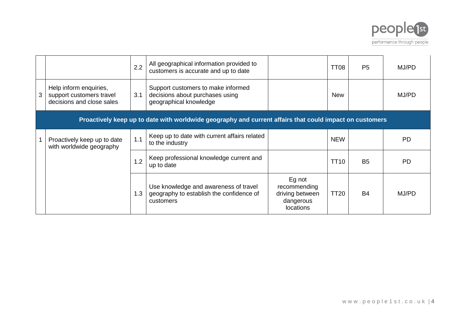

|                                                                                 | 2.2 | All geographical information provided to<br>customers is accurate and up to date                        |                                                                     | TT <sub>08</sub> | P <sub>5</sub> | MJ/PD |
|---------------------------------------------------------------------------------|-----|---------------------------------------------------------------------------------------------------------|---------------------------------------------------------------------|------------------|----------------|-------|
| Help inform enquiries,<br>support customers travel<br>decisions and close sales | 3.1 | Support customers to make informed<br>decisions about purchases using<br>geographical knowledge         |                                                                     | <b>New</b>       |                | MJ/PD |
|                                                                                 |     | Proactively keep up to date with worldwide geography and current affairs that could impact on customers |                                                                     |                  |                |       |
| Proactively keep up to date<br>with worldwide geography                         | 1.1 | Keep up to date with current affairs related<br>to the industry                                         |                                                                     | <b>NEW</b>       |                | PD    |
|                                                                                 | 1.2 | Keep professional knowledge current and<br>up to date                                                   |                                                                     | <b>TT10</b>      | <b>B5</b>      | PD    |
|                                                                                 | 1.3 | Use knowledge and awareness of travel<br>geography to establish the confidence of<br>customers          | Eg not<br>recommending<br>driving between<br>dangerous<br>locations | <b>TT20</b>      | <b>B4</b>      | MJ/PD |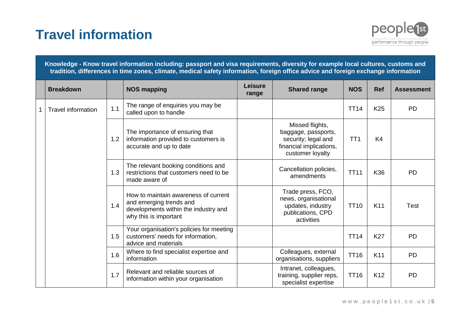# **Travel information**



|   |                           |     | Knowledge - Know travel information including: passport and visa requirements, diversity for example local cultures, customs and<br>tradition, differences in time zones, climate, medical safety information, foreign office advice and foreign exchange information |                         |                                                                                                              |                 |                 |                   |
|---|---------------------------|-----|-----------------------------------------------------------------------------------------------------------------------------------------------------------------------------------------------------------------------------------------------------------------------|-------------------------|--------------------------------------------------------------------------------------------------------------|-----------------|-----------------|-------------------|
|   | <b>Breakdown</b>          |     | <b>NOS mapping</b>                                                                                                                                                                                                                                                    | <b>Leisure</b><br>range | <b>Shared range</b>                                                                                          | <b>NOS</b>      | <b>Ref</b>      | <b>Assessment</b> |
| 1 | <b>Travel information</b> | 1.1 | The range of enquiries you may be<br>called upon to handle                                                                                                                                                                                                            |                         |                                                                                                              | <b>TT14</b>     | K <sub>25</sub> | <b>PD</b>         |
|   |                           | 1.2 | The importance of ensuring that<br>information provided to customers is<br>accurate and up to date                                                                                                                                                                    |                         | Missed flights,<br>baggage, passports,<br>security; legal and<br>financial implications,<br>customer loyalty | TT <sub>1</sub> | K <sub>4</sub>  |                   |
|   |                           | 1.3 | The relevant booking conditions and<br>restrictions that customers need to be<br>made aware of                                                                                                                                                                        |                         | Cancellation policies,<br>amendments                                                                         | <b>TT11</b>     | K36             | <b>PD</b>         |
|   |                           | 1.4 | How to maintain awareness of current<br>and emerging trends and<br>developments within the industry and<br>why this is important                                                                                                                                      |                         | Trade press, FCO,<br>news, organisational<br>updates, industry<br>publications, CPD<br>activities            | <b>TT10</b>     | K11             | <b>Test</b>       |
|   |                           | 1.5 | Your organisation's policies for meeting<br>customers' needs for information,<br>advice and materials                                                                                                                                                                 |                         |                                                                                                              | <b>TT14</b>     | <b>K27</b>      | <b>PD</b>         |
|   |                           | 1.6 | Where to find specialist expertise and<br>information                                                                                                                                                                                                                 |                         | Colleagues, external<br>organisations, suppliers                                                             | <b>TT16</b>     | K11             | <b>PD</b>         |
|   |                           | 1.7 | Relevant and reliable sources of<br>information within your organisation                                                                                                                                                                                              |                         | Intranet, colleagues,<br>training, supplier reps,<br>specialist expertise                                    | <b>TT16</b>     | K12             | <b>PD</b>         |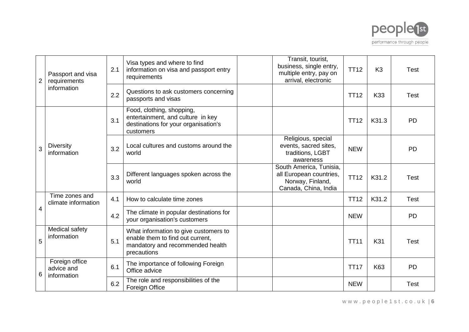

| $\overline{2}$ | Passport and visa<br>requirements           | 2.1 | Visa types and where to find<br>information on visa and passport entry<br>requirements                                       | Transit, tourist,<br>business, single entry,<br>multiple entry, pay on<br>arrival, electronic  | <b>TT12</b> | K <sub>3</sub> | <b>Test</b> |
|----------------|---------------------------------------------|-----|------------------------------------------------------------------------------------------------------------------------------|------------------------------------------------------------------------------------------------|-------------|----------------|-------------|
|                | information                                 | 2.2 | Questions to ask customers concerning<br>passports and visas                                                                 |                                                                                                | <b>TT12</b> | K33            | <b>Test</b> |
|                |                                             | 3.1 | Food, clothing, shopping,<br>entertainment, and culture in key<br>destinations for your organisation's<br>customers          |                                                                                                | <b>TT12</b> | K31.3          | <b>PD</b>   |
| 3              | <b>Diversity</b><br>information             | 3.2 | Local cultures and customs around the<br>world                                                                               | Religious, special<br>events, sacred sites,<br>traditions, LGBT<br>awareness                   | <b>NEW</b>  |                | <b>PD</b>   |
|                |                                             | 3.3 | Different languages spoken across the<br>world                                                                               | South America, Tunisia,<br>all European countries,<br>Norway, Finland,<br>Canada, China, India | <b>TT12</b> | K31.2          | <b>Test</b> |
|                | Time zones and<br>climate information       | 4.1 | How to calculate time zones                                                                                                  |                                                                                                | <b>TT12</b> | K31.2          | Test        |
| 4              |                                             | 4.2 | The climate in popular destinations for<br>your organisation's customers                                                     |                                                                                                | <b>NEW</b>  |                | <b>PD</b>   |
| 5              | Medical safety<br>information               | 5.1 | What information to give customers to<br>enable them to find out current,<br>mandatory and recommended health<br>precautions |                                                                                                | <b>TT11</b> | K31            | <b>Test</b> |
|                | Foreign office<br>advice and<br>information | 6.1 | The importance of following Foreign<br>Office advice                                                                         |                                                                                                | <b>TT17</b> | K63            | <b>PD</b>   |
| 6              |                                             | 6.2 | The role and responsibilities of the<br>Foreign Office                                                                       |                                                                                                | <b>NEW</b>  |                | <b>Test</b> |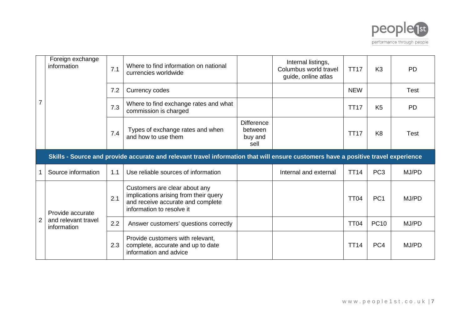

|                | Foreign exchange<br>information    | 7.1 | Where to find information on national<br>currencies worldwide                                                                            |                                                 | Internal listings,<br>Columbus world travel<br>guide, online atlas | <b>TT17</b> | K <sub>3</sub>  | <b>PD</b>   |
|----------------|------------------------------------|-----|------------------------------------------------------------------------------------------------------------------------------------------|-------------------------------------------------|--------------------------------------------------------------------|-------------|-----------------|-------------|
|                |                                    | 7.2 | Currency codes                                                                                                                           |                                                 |                                                                    | <b>NEW</b>  |                 | <b>Test</b> |
|                |                                    | 7.3 | Where to find exchange rates and what<br>commission is charged                                                                           |                                                 |                                                                    | <b>TT17</b> | K <sub>5</sub>  | <b>PD</b>   |
|                |                                    | 7.4 | Types of exchange rates and when<br>and how to use them                                                                                  | <b>Difference</b><br>between<br>buy and<br>sell |                                                                    | <b>TT17</b> | K <sub>8</sub>  | <b>Test</b> |
|                |                                    |     | Skills - Source and provide accurate and relevant travel information that will ensure customers have a positive travel experience        |                                                 |                                                                    |             |                 |             |
|                | Source information                 | 1.1 | Use reliable sources of information                                                                                                      |                                                 | Internal and external                                              | <b>TT14</b> | PC <sub>3</sub> | MJ/PD       |
|                | Provide accurate                   | 2.1 | Customers are clear about any<br>implications arising from their query<br>and receive accurate and complete<br>information to resolve it |                                                 |                                                                    | <b>TT04</b> | PC <sub>1</sub> | MJ/PD       |
| $\overline{2}$ | and relevant travel<br>information | 2.2 | Answer customers' questions correctly                                                                                                    |                                                 |                                                                    | <b>TT04</b> | <b>PC10</b>     | MJ/PD       |
|                |                                    |     | Provide customers with relevant,                                                                                                         |                                                 |                                                                    |             |                 |             |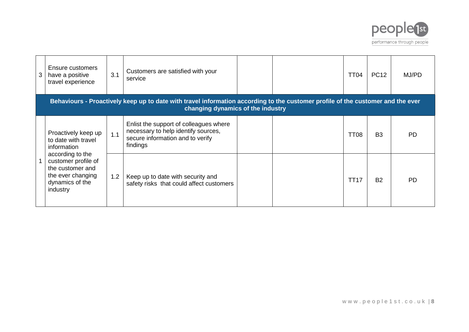

| 3 | Ensure customers<br>have a positive<br>travel experience                                                        | 3.1 | Customers are satisfied with your<br>service                                                                                                                         |  | TT04             | <b>PC12</b>    | MJ/PD     |
|---|-----------------------------------------------------------------------------------------------------------------|-----|----------------------------------------------------------------------------------------------------------------------------------------------------------------------|--|------------------|----------------|-----------|
|   |                                                                                                                 |     | Behaviours - Proactively keep up to date with travel information according to the customer profile of the customer and the ever<br>changing dynamics of the industry |  |                  |                |           |
|   | Proactively keep up<br>to date with travel<br>information                                                       | 1.1 | Enlist the support of colleagues where<br>necessary to help identify sources,<br>secure information and to verify<br>findings                                        |  | TT <sub>08</sub> | B <sub>3</sub> | <b>PD</b> |
|   | according to the<br>customer profile of<br>the customer and<br>the ever changing<br>dynamics of the<br>industry | 1.2 | Keep up to date with security and<br>safety risks that could affect customers                                                                                        |  | TT17             | <b>B2</b>      | <b>PD</b> |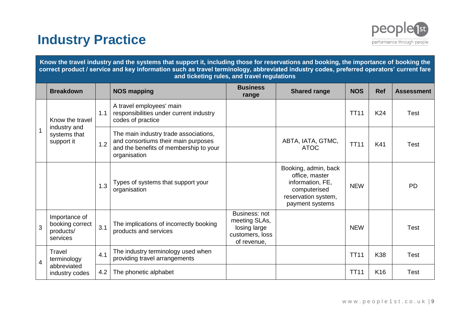### **Industry Practice**



**Know the travel industry and the systems that support it, including those for reservations and booking, the importance of booking the correct product / service and key information such as travel terminology, abbreviated industry codes, preferred operators' current fare and ticketing rules, and travel regulations**

|   | <b>Breakdown</b>                                          |     | <b>NOS mapping</b>                                                                                                                     | <b>Business</b><br>range                                                         | <b>Shared range</b>                                                                                                  | <b>NOS</b>  | <b>Ref</b> | <b>Assessment</b> |
|---|-----------------------------------------------------------|-----|----------------------------------------------------------------------------------------------------------------------------------------|----------------------------------------------------------------------------------|----------------------------------------------------------------------------------------------------------------------|-------------|------------|-------------------|
|   | Know the travel                                           | 1.1 | A travel employees' main<br>responsibilities under current industry<br>codes of practice                                               |                                                                                  |                                                                                                                      | <b>TT11</b> | K24        | <b>Test</b>       |
| 1 | industry and<br>systems that<br>support it                | 1.2 | The main industry trade associations,<br>and consortiums their main purposes<br>and the benefits of membership to your<br>organisation |                                                                                  | ABTA, IATA, GTMC,<br><b>ATOC</b>                                                                                     | <b>TT11</b> | K41        | <b>Test</b>       |
|   |                                                           | 1.3 | Types of systems that support your<br>organisation                                                                                     |                                                                                  | Booking, admin, back<br>office, master<br>information, FE,<br>computerised<br>reservation system,<br>payment systems | <b>NEW</b>  |            | <b>PD</b>         |
| 3 | Importance of<br>booking correct<br>products/<br>services | 3.1 | The implications of incorrectly booking<br>products and services                                                                       | Business: not<br>meeting SLAs,<br>losing large<br>customers, loss<br>of revenue, |                                                                                                                      | <b>NEW</b>  |            | <b>Test</b>       |
| 4 | Travel<br>terminology                                     | 4.1 | The industry terminology used when<br>providing travel arrangements                                                                    |                                                                                  |                                                                                                                      | <b>TT11</b> | K38        | <b>Test</b>       |
|   | abbreviated<br>4.2<br>industry codes                      |     | The phonetic alphabet                                                                                                                  |                                                                                  |                                                                                                                      | <b>TT11</b> | K16        | <b>Test</b>       |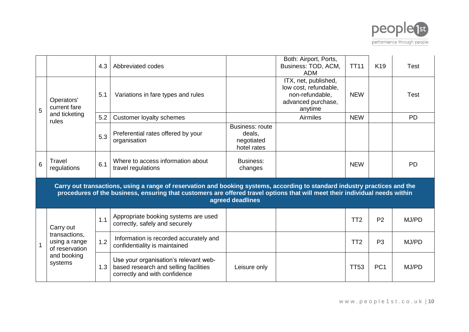

|   |                                                  | 4.3 | Abbreviated codes                                                                                                                                                                                                                                         |                                                        | Both: Airport, Ports,<br>Business: TOD, ACM,<br><b>ADM</b>                                        | <b>TT11</b>     | K <sub>19</sub> | Test      |
|---|--------------------------------------------------|-----|-----------------------------------------------------------------------------------------------------------------------------------------------------------------------------------------------------------------------------------------------------------|--------------------------------------------------------|---------------------------------------------------------------------------------------------------|-----------------|-----------------|-----------|
| 5 | Operators'<br>current fare                       | 5.1 | Variations in fare types and rules                                                                                                                                                                                                                        |                                                        | ITX, net, published,<br>low cost, refundable,<br>non-refundable,<br>advanced purchase,<br>anytime | <b>NEW</b>      |                 | Test      |
|   | and ticketing<br>rules                           | 5.2 | <b>Customer loyalty schemes</b>                                                                                                                                                                                                                           |                                                        | Airmiles                                                                                          | <b>NEW</b>      |                 | <b>PD</b> |
|   |                                                  | 5.3 | Preferential rates offered by your<br>organisation                                                                                                                                                                                                        | Business: route<br>deals,<br>negotiated<br>hotel rates |                                                                                                   |                 |                 |           |
| 6 | Travel<br>regulations                            | 6.1 | Where to access information about<br>travel regulations                                                                                                                                                                                                   | Business:<br>changes                                   |                                                                                                   | <b>NEW</b>      |                 | <b>PD</b> |
|   |                                                  |     | Carry out transactions, using a range of reservation and booking systems, according to standard industry practices and the<br>procedures of the business, ensuring that customers are offered travel options that will meet their individual needs within | agreed deadlines                                       |                                                                                                   |                 |                 |           |
|   | Carry out                                        | 1.1 | Appropriate booking systems are used<br>correctly, safely and securely                                                                                                                                                                                    |                                                        |                                                                                                   | TT <sub>2</sub> | P <sub>2</sub>  | MJ/PD     |
|   | transactions,<br>using a range<br>of reservation | 1.2 | Information is recorded accurately and<br>confidentiality is maintained                                                                                                                                                                                   |                                                        |                                                                                                   | TT <sub>2</sub> | P <sub>3</sub>  | MJ/PD     |
|   | and booking<br>systems                           | 1.3 | Use your organisation's relevant web-<br>based research and selling facilities<br>correctly and with confidence                                                                                                                                           | Leisure only                                           |                                                                                                   | <b>TT53</b>     | PC <sub>1</sub> | MJ/PD     |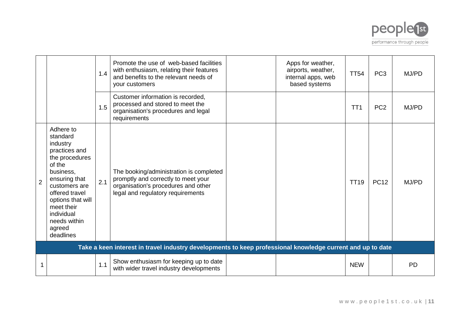

|                |                                                                                                                                                                                                                                         | 1.4 | Promote the use of web-based facilities<br>with enthusiasm, relating their features<br>and benefits to the relevant needs of<br>your customers             | Apps for weather,<br>airports, weather,<br>internal apps, web<br>based systems | <b>TT54</b>     | PC <sub>3</sub> | MJ/PD     |
|----------------|-----------------------------------------------------------------------------------------------------------------------------------------------------------------------------------------------------------------------------------------|-----|------------------------------------------------------------------------------------------------------------------------------------------------------------|--------------------------------------------------------------------------------|-----------------|-----------------|-----------|
|                |                                                                                                                                                                                                                                         | 1.5 | Customer information is recorded,<br>processed and stored to meet the<br>organisation's procedures and legal<br>requirements                               |                                                                                | TT <sub>1</sub> | PC <sub>2</sub> | MJ/PD     |
| $\overline{2}$ | Adhere to<br>standard<br>industry<br>practices and<br>the procedures<br>of the<br>business,<br>ensuring that<br>customers are<br>offered travel<br>options that will<br>meet their<br>individual<br>needs within<br>agreed<br>deadlines | 2.1 | The booking/administration is completed<br>promptly and correctly to meet your<br>organisation's procedures and other<br>legal and regulatory requirements |                                                                                | <b>TT19</b>     | <b>PC12</b>     | MJ/PD     |
|                |                                                                                                                                                                                                                                         |     | Take a keen interest in travel industry developments to keep professional knowledge current and up to date                                                 |                                                                                |                 |                 |           |
| 1              |                                                                                                                                                                                                                                         | 1.1 | Show enthusiasm for keeping up to date<br>with wider travel industry developments                                                                          |                                                                                | <b>NEW</b>      |                 | <b>PD</b> |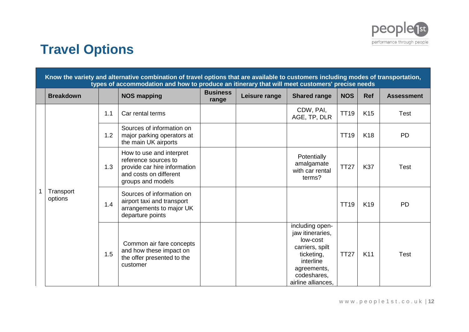

# **Travel Options**

|  |                      |     | Know the variety and alternative combination of travel options that are available to customers including modes of transportation,<br>types of accommodation and how to produce an itinerary that will meet customers' precise needs |                          |               |                                                                                                                                                   |             |                 |                   |
|--|----------------------|-----|-------------------------------------------------------------------------------------------------------------------------------------------------------------------------------------------------------------------------------------|--------------------------|---------------|---------------------------------------------------------------------------------------------------------------------------------------------------|-------------|-----------------|-------------------|
|  | <b>Breakdown</b>     |     | <b>NOS mapping</b>                                                                                                                                                                                                                  | <b>Business</b><br>range | Leisure range | <b>Shared range</b>                                                                                                                               | <b>NOS</b>  | <b>Ref</b>      | <b>Assessment</b> |
|  |                      | 1.1 | Car rental terms                                                                                                                                                                                                                    |                          |               | CDW, PAI,<br>AGE, TP, DLR                                                                                                                         | <b>TT19</b> | K <sub>15</sub> | <b>Test</b>       |
|  | Transport<br>options | 1.2 | Sources of information on<br>major parking operators at<br>the main UK airports                                                                                                                                                     |                          |               |                                                                                                                                                   | <b>TT19</b> | K <sub>18</sub> | <b>PD</b>         |
|  |                      | 1.3 | How to use and interpret<br>reference sources to<br>provide car hire information<br>and costs on different<br>groups and models                                                                                                     |                          |               | Potentially<br>amalgamate<br>with car rental<br>terms?                                                                                            | <b>TT27</b> | <b>K37</b>      | <b>Test</b>       |
|  |                      | 1.4 | Sources of information on<br>airport taxi and transport<br>arrangements to major UK<br>departure points                                                                                                                             |                          |               |                                                                                                                                                   | <b>TT19</b> | K <sub>19</sub> | <b>PD</b>         |
|  |                      | 1.5 | Common air fare concepts<br>and how these impact on<br>the offer presented to the<br>customer                                                                                                                                       |                          |               | including open-<br>jaw itineraries,<br>low-cost<br>carriers, spilt<br>ticketing,<br>interline<br>agreements,<br>codeshares,<br>airline alliances. | <b>TT27</b> | K11             | <b>Test</b>       |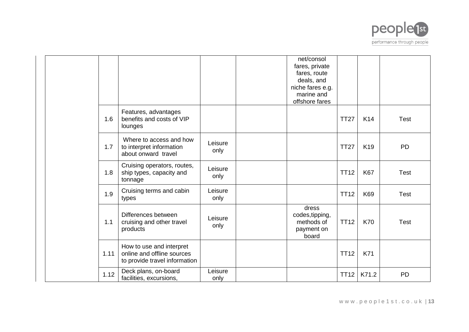

|      |                                                                                         |                 | net/consol<br>fares, private<br>fares, route<br>deals, and<br>niche fares e.g.<br>marine and<br>offshore fares |             |                 |             |
|------|-----------------------------------------------------------------------------------------|-----------------|----------------------------------------------------------------------------------------------------------------|-------------|-----------------|-------------|
| 1.6  | Features, advantages<br>benefits and costs of VIP<br>lounges                            |                 |                                                                                                                | <b>TT27</b> | K14             | <b>Test</b> |
| 1.7  | Where to access and how<br>to interpret information<br>about onward travel              | Leisure<br>only |                                                                                                                | <b>TT27</b> | K <sub>19</sub> | <b>PD</b>   |
| 1.8  | Cruising operators, routes,<br>ship types, capacity and<br>tonnage                      | Leisure<br>only |                                                                                                                | <b>TT12</b> | <b>K67</b>      | <b>Test</b> |
| 1.9  | Cruising terms and cabin<br>types                                                       | Leisure<br>only |                                                                                                                | <b>TT12</b> | K69             | <b>Test</b> |
| 1.1  | Differences between<br>cruising and other travel<br>products                            | Leisure<br>only | dress<br>codes, tipping,<br>methods of<br>payment on<br>board                                                  | <b>TT12</b> | <b>K70</b>      | <b>Test</b> |
| 1.11 | How to use and interpret<br>online and offline sources<br>to provide travel information |                 |                                                                                                                | <b>TT12</b> | K71             |             |
| 1.12 | Deck plans, on-board<br>facilities, excursions,                                         | Leisure<br>only |                                                                                                                | <b>TT12</b> | K71.2           | <b>PD</b>   |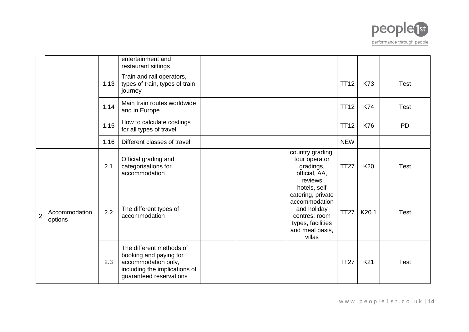

|                |                          |      | entertainment and<br>restaurant sittings                                                                                              |  |                                                                                                                                       |             |                 |             |
|----------------|--------------------------|------|---------------------------------------------------------------------------------------------------------------------------------------|--|---------------------------------------------------------------------------------------------------------------------------------------|-------------|-----------------|-------------|
|                |                          | 1.13 | Train and rail operators,<br>types of train, types of train<br>journey                                                                |  |                                                                                                                                       | <b>TT12</b> | K73             | <b>Test</b> |
|                |                          | 1.14 | Main train routes worldwide<br>and in Europe                                                                                          |  |                                                                                                                                       | <b>TT12</b> | <b>K74</b>      | <b>Test</b> |
|                |                          | 1.15 | How to calculate costings<br>for all types of travel                                                                                  |  |                                                                                                                                       | <b>TT12</b> | K76             | <b>PD</b>   |
|                |                          | 1.16 | Different classes of travel                                                                                                           |  |                                                                                                                                       | <b>NEW</b>  |                 |             |
|                |                          | 2.1  | Official grading and<br>categorisations for<br>accommodation                                                                          |  | country grading,<br>tour operator<br>gradings,<br>official, AA,<br>reviews                                                            | <b>TT27</b> | K <sub>20</sub> | <b>Test</b> |
| $\overline{2}$ | Accommodation<br>options | 2.2  | The different types of<br>accommodation                                                                                               |  | hotels, self-<br>catering, private<br>accommodation<br>and holiday<br>centres; room<br>types, facilities<br>and meal basis,<br>villas | <b>TT27</b> | K20.1           | <b>Test</b> |
|                |                          | 2.3  | The different methods of<br>booking and paying for<br>accommodation only,<br>including the implications of<br>guaranteed reservations |  |                                                                                                                                       | <b>TT27</b> | K21             | <b>Test</b> |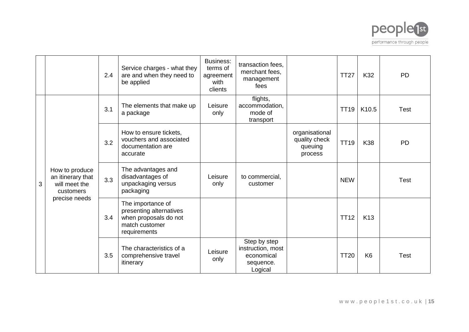

|   |                                                                   | 2.4 | Service charges - what they<br>are and when they need to<br>be applied                                  | <b>Business:</b><br>terms of<br>agreement<br>with<br>clients | transaction fees,<br>merchant fees,<br>management<br>fees               |                                                       | <b>TT27</b> | K32             | <b>PD</b>   |
|---|-------------------------------------------------------------------|-----|---------------------------------------------------------------------------------------------------------|--------------------------------------------------------------|-------------------------------------------------------------------------|-------------------------------------------------------|-------------|-----------------|-------------|
|   |                                                                   | 3.1 | The elements that make up<br>a package                                                                  | Leisure<br>only                                              | flights,<br>accommodation,<br>mode of<br>transport                      |                                                       | <b>TT19</b> | K10.5           | <b>Test</b> |
|   |                                                                   | 3.2 | How to ensure tickets,<br>vouchers and associated<br>documentation are<br>accurate                      |                                                              |                                                                         | organisational<br>quality check<br>queuing<br>process | <b>TT19</b> | K38             | <b>PD</b>   |
| 3 | How to produce<br>an itinerary that<br>will meet the<br>customers | 3.3 | The advantages and<br>disadvantages of<br>unpackaging versus<br>packaging                               | Leisure<br>only                                              | to commercial,<br>customer                                              |                                                       | <b>NEW</b>  |                 | <b>Test</b> |
|   | precise needs                                                     | 3.4 | The importance of<br>presenting alternatives<br>when proposals do not<br>match customer<br>requirements |                                                              |                                                                         |                                                       | <b>TT12</b> | K <sub>13</sub> |             |
|   |                                                                   | 3.5 | The characteristics of a<br>comprehensive travel<br>itinerary                                           | Leisure<br>only                                              | Step by step<br>instruction, most<br>economical<br>sequence.<br>Logical |                                                       | <b>TT20</b> | K <sub>6</sub>  | <b>Test</b> |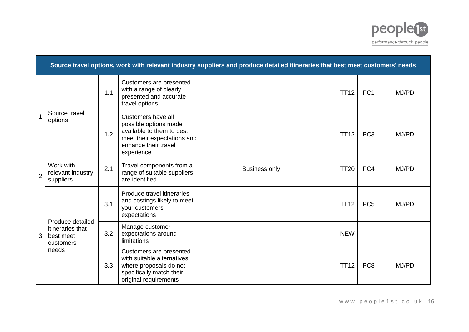

|                | Source travel options, work with relevant industry suppliers and produce detailed itineraries that best meet customers' needs |     |                                                                                                                                               |  |                      |  |             |                 |       |  |  |  |
|----------------|-------------------------------------------------------------------------------------------------------------------------------|-----|-----------------------------------------------------------------------------------------------------------------------------------------------|--|----------------------|--|-------------|-----------------|-------|--|--|--|
|                |                                                                                                                               | 1.1 | Customers are presented<br>with a range of clearly<br>presented and accurate<br>travel options                                                |  |                      |  | <b>TT12</b> | PC <sub>1</sub> | MJ/PD |  |  |  |
|                | Source travel<br>options                                                                                                      | 1.2 | Customers have all<br>possible options made<br>available to them to best<br>meet their expectations and<br>enhance their travel<br>experience |  |                      |  | <b>TT12</b> | PC <sub>3</sub> | MJ/PD |  |  |  |
| $\overline{2}$ | Work with<br>relevant industry<br>suppliers                                                                                   | 2.1 | Travel components from a<br>range of suitable suppliers<br>are identified                                                                     |  | <b>Business only</b> |  | <b>TT20</b> | PC4             | MJ/PD |  |  |  |
|                | Produce detailed                                                                                                              | 3.1 | Produce travel itineraries<br>and costings likely to meet<br>your customers'<br>expectations                                                  |  |                      |  | <b>TT12</b> | PC <sub>5</sub> | MJ/PD |  |  |  |
| 3              | itineraries that<br>best meet<br>customers'                                                                                   | 3.2 | Manage customer<br>expectations around<br>limitations                                                                                         |  |                      |  | <b>NEW</b>  |                 |       |  |  |  |
|                | needs                                                                                                                         | 3.3 | Customers are presented<br>with suitable alternatives<br>where proposals do not<br>specifically match their<br>original requirements          |  |                      |  | <b>TT12</b> | PC <sub>8</sub> | MJ/PD |  |  |  |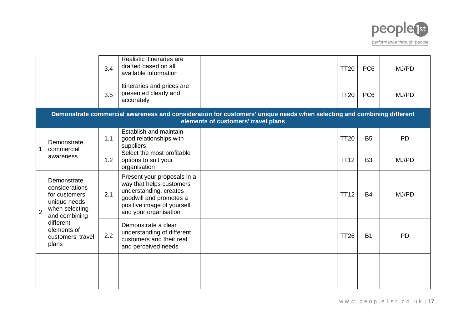

|                |                                                                                                    | 3.4 | Realistic itineraries are<br>drafted based on all<br>available information                                                                                           |                                     | <b>TT20</b> | PC <sub>6</sub> | MJ/PD     |
|----------------|----------------------------------------------------------------------------------------------------|-----|----------------------------------------------------------------------------------------------------------------------------------------------------------------------|-------------------------------------|-------------|-----------------|-----------|
|                |                                                                                                    | 3.5 | Itineraries and prices are<br>presented clearly and<br>accurately                                                                                                    |                                     | <b>TT20</b> | PC <sub>6</sub> | MJ/PD     |
|                |                                                                                                    |     | Demonstrate commercial awareness and consideration for customers' unique needs when selecting and combining different                                                | elements of customers' travel plans |             |                 |           |
|                | Demonstrate<br>commercial                                                                          | 1.1 | Establish and maintain<br>good relationships with<br>suppliers                                                                                                       |                                     | <b>TT20</b> | <b>B5</b>       | <b>PD</b> |
|                | awareness                                                                                          | 1.2 | Select the most profitable<br>options to suit your<br>organisation                                                                                                   |                                     | <b>TT12</b> | B <sub>3</sub>  | MJ/PD     |
| $\overline{2}$ | Demonstrate<br>considerations<br>for customers'<br>unique needs<br>when selecting<br>and combining | 2.1 | Present your proposals in a<br>way that helps customers'<br>understanding, creates<br>goodwill and promotes a<br>positive image of yourself<br>and your organisation |                                     | <b>TT12</b> | <b>B4</b>       | MJ/PD     |
|                | different<br>elements of<br>customers' travel<br>plans                                             | 2.2 | Demonstrate a clear<br>understanding of different<br>customers and their real<br>and perceived needs                                                                 |                                     | <b>TT26</b> | <b>B1</b>       | <b>PD</b> |
|                |                                                                                                    |     |                                                                                                                                                                      |                                     |             |                 |           |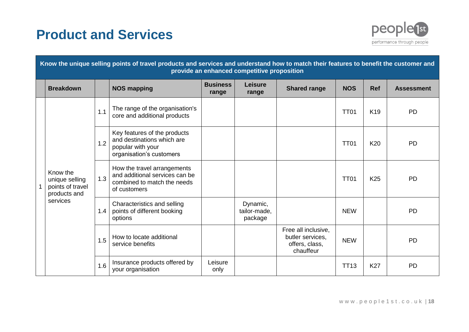# **Product and Services**



|  | Know the unique selling points of travel products and services and understand how to match their features to benefit the customer and<br>provide an enhanced competitive proposition |     |                                                                                                              |                          |                                     |                                                                        |             |                 |                   |  |  |  |  |
|--|--------------------------------------------------------------------------------------------------------------------------------------------------------------------------------------|-----|--------------------------------------------------------------------------------------------------------------|--------------------------|-------------------------------------|------------------------------------------------------------------------|-------------|-----------------|-------------------|--|--|--|--|
|  | <b>Breakdown</b>                                                                                                                                                                     |     | <b>NOS mapping</b>                                                                                           | <b>Business</b><br>range | <b>Leisure</b><br>range             | <b>Shared range</b>                                                    | <b>NOS</b>  | <b>Ref</b>      | <b>Assessment</b> |  |  |  |  |
|  |                                                                                                                                                                                      | 1.1 | The range of the organisation's<br>core and additional products                                              |                          |                                     |                                                                        | <b>TT01</b> | K <sub>19</sub> | <b>PD</b>         |  |  |  |  |
|  |                                                                                                                                                                                      | 1.2 | Key features of the products<br>and destinations which are<br>popular with your<br>organisation's customers  |                          |                                     |                                                                        | <b>TT01</b> | K20             | <b>PD</b>         |  |  |  |  |
|  | Know the<br>unique selling<br>points of travel<br>products and<br>services                                                                                                           | 1.3 | How the travel arrangements<br>and additional services can be<br>combined to match the needs<br>of customers |                          |                                     |                                                                        | <b>TT01</b> | K <sub>25</sub> | <b>PD</b>         |  |  |  |  |
|  |                                                                                                                                                                                      | 1.4 | Characteristics and selling<br>points of different booking<br>options                                        |                          | Dynamic,<br>tailor-made,<br>package |                                                                        | <b>NEW</b>  |                 | <b>PD</b>         |  |  |  |  |
|  |                                                                                                                                                                                      | 1.5 | How to locate additional<br>service benefits                                                                 |                          |                                     | Free all inclusive.<br>butler services,<br>offers, class,<br>chauffeur | <b>NEW</b>  |                 | <b>PD</b>         |  |  |  |  |
|  |                                                                                                                                                                                      | 1.6 | Insurance products offered by<br>your organisation                                                           | Leisure<br>only          |                                     |                                                                        | <b>TT13</b> | <b>K27</b>      | <b>PD</b>         |  |  |  |  |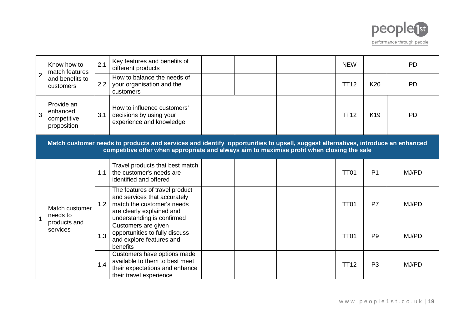

|                | Know how to<br>match features                        | 2.1 | Key features and benefits of<br>different products                                                                                                                                                                            |  | <b>NEW</b>  |                 | <b>PD</b> |
|----------------|------------------------------------------------------|-----|-------------------------------------------------------------------------------------------------------------------------------------------------------------------------------------------------------------------------------|--|-------------|-----------------|-----------|
| $\overline{2}$ | and benefits to<br>customers                         | 2.2 | How to balance the needs of<br>your organisation and the<br>customers                                                                                                                                                         |  | <b>TT12</b> | K20             | <b>PD</b> |
| 3              | Provide an<br>enhanced<br>competitive<br>proposition | 3.1 | How to influence customers'<br>decisions by using your<br>experience and knowledge                                                                                                                                            |  | <b>TT12</b> | K <sub>19</sub> | <b>PD</b> |
|                |                                                      |     | Match customer needs to products and services and identify opportunities to upsell, suggest alternatives, introduce an enhanced<br>competitive offer when appropriate and always aim to maximise profit when closing the sale |  |             |                 |           |
|                |                                                      | 1.1 | Travel products that best match<br>the customer's needs are<br>identified and offered                                                                                                                                         |  | <b>TT01</b> | P <sub>1</sub>  | MJ/PD     |
|                | Match customer<br>needs to                           | 1.2 | The features of travel product<br>and services that accurately<br>match the customer's needs<br>are clearly explained and<br>understanding is confirmed                                                                       |  | <b>TT01</b> | P7              | MJ/PD     |
|                | products and<br>services                             | 1.3 | Customers are given<br>opportunities to fully discuss<br>and explore features and<br>benefits                                                                                                                                 |  | <b>TT01</b> | P <sub>9</sub>  | MJ/PD     |
|                |                                                      | 1.4 | Customers have options made<br>available to them to best meet<br>their expectations and enhance<br>their travel experience                                                                                                    |  | <b>TT12</b> | P <sub>3</sub>  | MJ/PD     |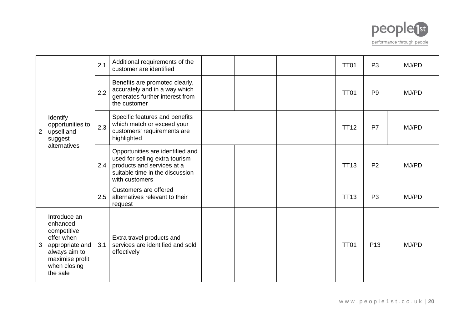

|                |                                                                                                                                          | 2.1 | Additional requirements of the<br>customer are identified                                                                                             |  | <b>TT01</b> | P <sub>3</sub>  | MJ/PD |
|----------------|------------------------------------------------------------------------------------------------------------------------------------------|-----|-------------------------------------------------------------------------------------------------------------------------------------------------------|--|-------------|-----------------|-------|
|                |                                                                                                                                          | 2.2 | Benefits are promoted clearly,<br>accurately and in a way which<br>generates further interest from<br>the customer                                    |  | <b>TT01</b> | P <sub>9</sub>  | MJ/PD |
| $\overline{2}$ | Identify<br>opportunities to<br>upsell and<br>suggest                                                                                    | 2.3 | Specific features and benefits<br>which match or exceed your<br>customers' requirements are<br>highlighted                                            |  | <b>TT12</b> | P7              | MJ/PD |
|                | alternatives                                                                                                                             | 2.4 | Opportunities are identified and<br>used for selling extra tourism<br>products and services at a<br>suitable time in the discussion<br>with customers |  | <b>TT13</b> | P <sub>2</sub>  | MJ/PD |
|                |                                                                                                                                          | 2.5 | Customers are offered<br>alternatives relevant to their<br>request                                                                                    |  | <b>TT13</b> | P <sub>3</sub>  | MJ/PD |
| 3              | Introduce an<br>enhanced<br>competitive<br>offer when<br>appropriate and<br>always aim to<br>maximise profit<br>when closing<br>the sale | 3.1 | Extra travel products and<br>services are identified and sold<br>effectively                                                                          |  | <b>TT01</b> | P <sub>13</sub> | MJ/PD |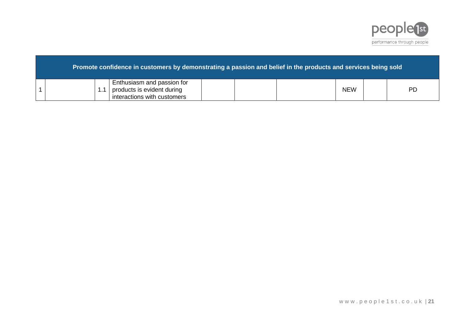

|  | Promote confidence in customers by demonstrating a passion and belief in the products and services being sold b |  |            |           |
|--|-----------------------------------------------------------------------------------------------------------------|--|------------|-----------|
|  | Enthusiasm and passion for<br>products is evident during<br>interactions with customers                         |  | <b>NEW</b> | <b>PD</b> |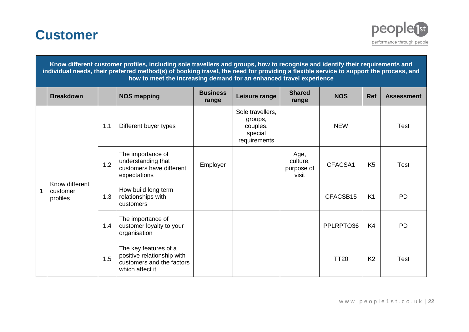



#### **Know different customer profiles, including sole travellers and groups, how to recognise and identify their requirements and individual needs, their preferred method(s) of booking travel, the need for providing a flexible service to support the process, and how to meet the increasing demand for an enhanced travel experience**

| <b>Breakdown</b>                       |     | <b>NOS mapping</b>                                                                                  | <b>Business</b><br>range | Leisure range                                                      | <b>Shared</b><br>range                  | <b>NOS</b>  | Ref            | <b>Assessment</b> |
|----------------------------------------|-----|-----------------------------------------------------------------------------------------------------|--------------------------|--------------------------------------------------------------------|-----------------------------------------|-------------|----------------|-------------------|
|                                        | 1.1 | Different buyer types                                                                               |                          | Sole travellers,<br>groups,<br>couples,<br>special<br>requirements |                                         | <b>NEW</b>  |                | <b>Test</b>       |
|                                        | 1.2 | The importance of<br>understanding that<br>customers have different<br>expectations                 | Employer                 |                                                                    | Age,<br>culture,<br>purpose of<br>visit | CFACSA1     | K <sub>5</sub> | <b>Test</b>       |
| Know different<br>customer<br>profiles | 1.3 | How build long term<br>relationships with<br>customers                                              |                          |                                                                    |                                         | CFACSB15    | K <sub>1</sub> | <b>PD</b>         |
|                                        | 1.4 | The importance of<br>customer loyalty to your<br>organisation                                       |                          |                                                                    |                                         | PPLRPTO36   | K4             | <b>PD</b>         |
|                                        | 1.5 | The key features of a<br>positive relationship with<br>customers and the factors<br>which affect it |                          |                                                                    |                                         | <b>TT20</b> | K <sub>2</sub> | <b>Test</b>       |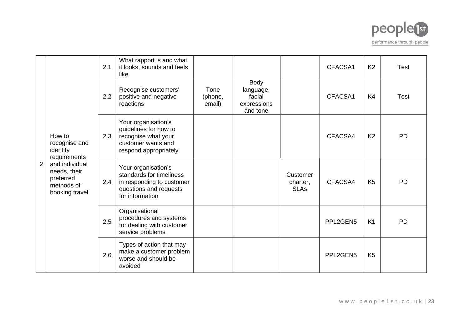

|   |                                                                             | 2.1 | What rapport is and what<br>it looks, sounds and feels<br>like                                                            |                           |                                                        |                                     | CFACSA1  | K <sub>2</sub> | <b>Test</b> |
|---|-----------------------------------------------------------------------------|-----|---------------------------------------------------------------------------------------------------------------------------|---------------------------|--------------------------------------------------------|-------------------------------------|----------|----------------|-------------|
|   |                                                                             | 2.2 | Recognise customers'<br>positive and negative<br>reactions                                                                | Tone<br>(phone,<br>email) | Body<br>language,<br>facial<br>expressions<br>and tone |                                     | CFACSA1  | K4             | <b>Test</b> |
|   | How to<br>recognise and<br>identify<br>requirements                         | 2.3 | Your organisation's<br>guidelines for how to<br>recognise what your<br>customer wants and<br>respond appropriately        |                           |                                                        |                                     | CFACSA4  | K <sub>2</sub> | <b>PD</b>   |
| 2 | and individual<br>needs, their<br>preferred<br>methods of<br>booking travel | 2.4 | Your organisation's<br>standards for timeliness<br>in responding to customer<br>questions and requests<br>for information |                           |                                                        | Customer<br>charter,<br><b>SLAs</b> | CFACSA4  | K <sub>5</sub> | <b>PD</b>   |
|   |                                                                             | 2.5 | Organisational<br>procedures and systems<br>for dealing with customer<br>service problems                                 |                           |                                                        |                                     | PPL2GEN5 | K <sub>1</sub> | <b>PD</b>   |
|   |                                                                             | 2.6 | Types of action that may<br>make a customer problem<br>worse and should be<br>avoided                                     |                           |                                                        |                                     | PPL2GEN5 | K <sub>5</sub> |             |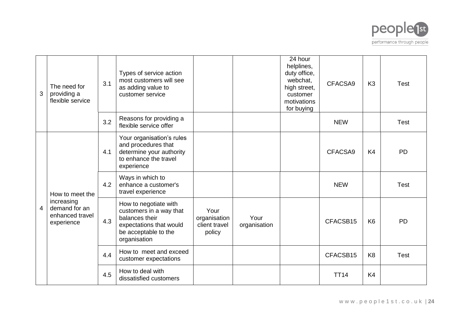

| 3              | The need for<br>providing a<br>flexible service              | 3.1 | Types of service action<br>most customers will see<br>as adding value to<br>customer service                                          |                                                 |                      | 24 hour<br>helplines,<br>duty office,<br>webchat,<br>high street,<br>customer<br>motivations<br>for buying | CFACSA9     | K <sub>3</sub> | <b>Test</b> |
|----------------|--------------------------------------------------------------|-----|---------------------------------------------------------------------------------------------------------------------------------------|-------------------------------------------------|----------------------|------------------------------------------------------------------------------------------------------------|-------------|----------------|-------------|
|                |                                                              | 3.2 | Reasons for providing a<br>flexible service offer                                                                                     |                                                 |                      |                                                                                                            | <b>NEW</b>  |                | <b>Test</b> |
|                |                                                              | 4.1 | Your organisation's rules<br>and procedures that<br>determine your authority<br>to enhance the travel<br>experience                   |                                                 |                      |                                                                                                            | CFACSA9     | K4             | <b>PD</b>   |
|                | How to meet the                                              | 4.2 | Ways in which to<br>enhance a customer's<br>travel experience                                                                         |                                                 |                      |                                                                                                            | <b>NEW</b>  |                | <b>Test</b> |
| $\overline{4}$ | increasing<br>demand for an<br>enhanced travel<br>experience | 4.3 | How to negotiate with<br>customers in a way that<br>balances their<br>expectations that would<br>be acceptable to the<br>organisation | Your<br>organisation<br>client travel<br>policy | Your<br>organisation |                                                                                                            | CFACSB15    | K <sub>6</sub> | <b>PD</b>   |
|                |                                                              | 4.4 | How to meet and exceed<br>customer expectations                                                                                       |                                                 |                      |                                                                                                            | CFACSB15    | K <sub>8</sub> | <b>Test</b> |
|                |                                                              | 4.5 | How to deal with<br>dissatisfied customers                                                                                            |                                                 |                      |                                                                                                            | <b>TT14</b> | K4             |             |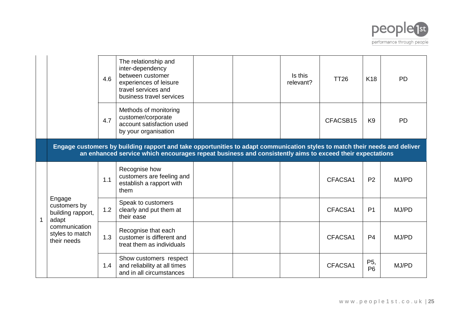

|                                                                                                         | 4.6 | The relationship and<br>inter-dependency<br>between customer<br>experiences of leisure<br>travel services and<br>business travel services                                                                                             |  | Is this<br>relevant? | <b>TT26</b> | K <sub>18</sub>       | <b>PD</b> |
|---------------------------------------------------------------------------------------------------------|-----|---------------------------------------------------------------------------------------------------------------------------------------------------------------------------------------------------------------------------------------|--|----------------------|-------------|-----------------------|-----------|
|                                                                                                         | 4.7 | Methods of monitoring<br>customer/corporate<br>account satisfaction used<br>by your organisation                                                                                                                                      |  |                      | CFACSB15    | K <sub>9</sub>        | <b>PD</b> |
|                                                                                                         |     | Engage customers by building rapport and take opportunities to adapt communication styles to match their needs and deliver<br>an enhanced service which encourages repeat business and consistently aims to exceed their expectations |  |                      |             |                       |           |
| Engage<br>customers by<br>building rapport,<br>adapt<br>communication<br>styles to match<br>their needs | 1.1 | Recognise how<br>customers are feeling and<br>establish a rapport with<br>them                                                                                                                                                        |  |                      | CFACSA1     | P <sub>2</sub>        | MJ/PD     |
|                                                                                                         | 1.2 | Speak to customers<br>clearly and put them at<br>their ease                                                                                                                                                                           |  |                      | CFACSA1     | P <sub>1</sub>        | MJ/PD     |
|                                                                                                         | 1.3 | Recognise that each<br>customer is different and<br>treat them as individuals                                                                                                                                                         |  |                      | CFACSA1     | P <sub>4</sub>        | MJ/PD     |
|                                                                                                         | 1.4 | Show customers respect<br>and reliability at all times<br>and in all circumstances                                                                                                                                                    |  |                      | CFACSA1     | P5,<br>P <sub>6</sub> | MJ/PD     |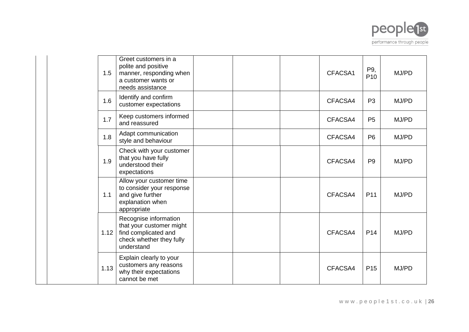

| 1.5  | Greet customers in a<br>polite and positive<br>manner, responding when<br>a customer wants or<br>needs assistance   |  | CFACSA1 | P9,<br>P <sub>10</sub> | MJ/PD |
|------|---------------------------------------------------------------------------------------------------------------------|--|---------|------------------------|-------|
| 1.6  | Identify and confirm<br>customer expectations                                                                       |  | CFACSA4 | P <sub>3</sub>         | MJ/PD |
| 1.7  | Keep customers informed<br>and reassured                                                                            |  | CFACSA4 | P <sub>5</sub>         | MJ/PD |
| 1.8  | Adapt communication<br>style and behaviour                                                                          |  | CFACSA4 | <b>P6</b>              | MJ/PD |
| 1.9  | Check with your customer<br>that you have fully<br>understood their<br>expectations                                 |  | CFACSA4 | P <sub>9</sub>         | MJ/PD |
| 1.1  | Allow your customer time<br>to consider your response<br>and give further<br>explanation when<br>appropriate        |  | CFACSA4 | P <sub>11</sub>        | MJ/PD |
| 1.12 | Recognise information<br>that your customer might<br>find complicated and<br>check whether they fully<br>understand |  | CFACSA4 | P <sub>14</sub>        | MJ/PD |
| 1.13 | Explain clearly to your<br>customers any reasons<br>why their expectations<br>cannot be met                         |  | CFACSA4 | P <sub>15</sub>        | MJ/PD |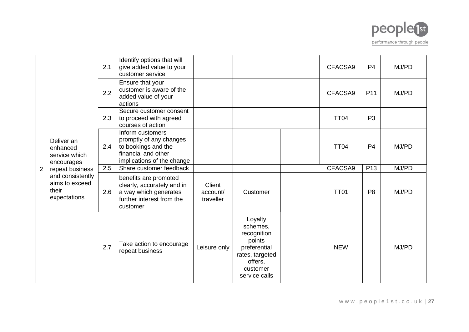

|                |                                                             | 2.1 | Identify options that will<br>give added value to your<br>customer service                                              |                                 |                                                                                                                         | CFACSA9     | P <sub>4</sub>  | MJ/PD |
|----------------|-------------------------------------------------------------|-----|-------------------------------------------------------------------------------------------------------------------------|---------------------------------|-------------------------------------------------------------------------------------------------------------------------|-------------|-----------------|-------|
| $\overline{2}$ |                                                             | 2.2 | Ensure that your<br>customer is aware of the<br>added value of your<br>actions                                          |                                 |                                                                                                                         | CFACSA9     | P <sub>11</sub> | MJ/PD |
|                |                                                             | 2.3 | Secure customer consent<br>to proceed with agreed<br>courses of action                                                  |                                 |                                                                                                                         | <b>TT04</b> | P <sub>3</sub>  |       |
|                | Deliver an<br>enhanced<br>service which<br>encourages       | 2.4 | Inform customers<br>promptly of any changes<br>to bookings and the<br>financial and other<br>implications of the change |                                 |                                                                                                                         | <b>TT04</b> | P <sub>4</sub>  | MJ/PD |
|                | repeat business                                             | 2.5 | Share customer feedback                                                                                                 |                                 |                                                                                                                         | CFACSA9     | P <sub>13</sub> | MJ/PD |
|                | and consistently<br>aims to exceed<br>their<br>expectations | 2.6 | benefits are promoted<br>clearly, accurately and in<br>a way which generates<br>further interest from the<br>customer   | Client<br>account/<br>traveller | Customer                                                                                                                | <b>TT01</b> | P <sub>8</sub>  | MJ/PD |
|                |                                                             | 2.7 | Take action to encourage<br>repeat business                                                                             | Leisure only                    | Loyalty<br>schemes,<br>recognition<br>points<br>preferential<br>rates, targeted<br>offers.<br>customer<br>service calls | <b>NEW</b>  |                 | MJ/PD |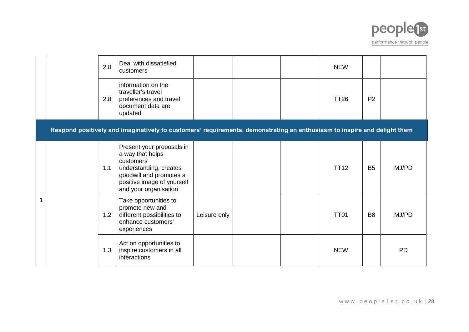

|   | 2.8 | Deal with dissatisfied<br>customers                                                                                                                                     |              |  | <b>NEW</b>  |                |           |
|---|-----|-------------------------------------------------------------------------------------------------------------------------------------------------------------------------|--------------|--|-------------|----------------|-----------|
|   | 2.8 | information on the<br>traveller's travel<br>preferences and travel<br>document data are<br>updated                                                                      |              |  | <b>TT26</b> | P <sub>2</sub> |           |
|   |     | Respond positively and imaginatively to customers' requirements, demonstrating an enthusiasm to inspire and delight them                                                |              |  |             |                |           |
|   | 1.1 | Present your proposals in<br>a way that helps<br>customers'<br>understanding, creates<br>goodwill and promotes a<br>positive image of yourself<br>and your organisation |              |  | <b>TT12</b> | B <sub>5</sub> | MJ/PD     |
| 1 | 1.2 | Take opportunities to<br>promote new and<br>different possibilities to<br>enhance customers'<br>experiences                                                             | Leisure only |  | <b>TT01</b> | B <sub>8</sub> | MJ/PD     |
|   | 1.3 | Act on opportunities to<br>inspire customers in all<br>interactions                                                                                                     |              |  | <b>NEW</b>  |                | <b>PD</b> |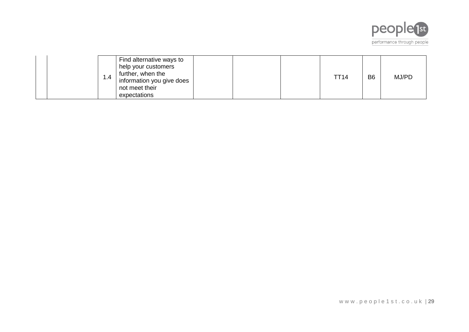

|  | Find alternative ways to<br>help your customers<br>further, when the<br>1.4<br>information you give does<br>not meet their<br>expectations |  | <b>TT14</b> | B <sub>6</sub> | MJ/PD |
|--|--------------------------------------------------------------------------------------------------------------------------------------------|--|-------------|----------------|-------|
|--|--------------------------------------------------------------------------------------------------------------------------------------------|--|-------------|----------------|-------|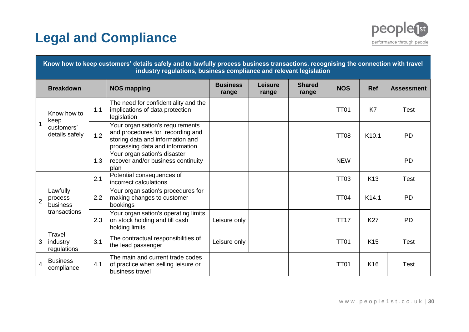# **Legal and Compliance**



|                | Know how to keep customers' details safely and to lawfully process business transactions, recognising the connection with travel<br>industry regulations, business compliance and relevant legislation |     |                                                                                                                                             |                          |                  |                        |             |                   |                   |  |  |  |
|----------------|--------------------------------------------------------------------------------------------------------------------------------------------------------------------------------------------------------|-----|---------------------------------------------------------------------------------------------------------------------------------------------|--------------------------|------------------|------------------------|-------------|-------------------|-------------------|--|--|--|
|                | <b>Breakdown</b>                                                                                                                                                                                       |     | <b>NOS mapping</b>                                                                                                                          | <b>Business</b><br>range | Leisure<br>range | <b>Shared</b><br>range | <b>NOS</b>  | <b>Ref</b>        | <b>Assessment</b> |  |  |  |
|                | Know how to<br>keep                                                                                                                                                                                    | 1.1 | The need for confidentiality and the<br>implications of data protection<br>legislation                                                      |                          |                  |                        | <b>TT01</b> | K7                | <b>Test</b>       |  |  |  |
|                | customers'<br>details safely                                                                                                                                                                           | 1.2 | Your organisation's requirements<br>and procedures for recording and<br>storing data and information and<br>processing data and information |                          |                  |                        | <b>TT08</b> | K <sub>10.1</sub> | <b>PD</b>         |  |  |  |
|                |                                                                                                                                                                                                        | 1.3 | Your organisation's disaster<br>recover and/or business continuity<br>plan                                                                  |                          |                  |                        | <b>NEW</b>  |                   | <b>PD</b>         |  |  |  |
|                |                                                                                                                                                                                                        | 2.1 | Potential consequences of<br>incorrect calculations                                                                                         |                          |                  |                        | <b>TT03</b> | K <sub>13</sub>   | <b>Test</b>       |  |  |  |
| $\overline{2}$ | Lawfully<br>process<br>business                                                                                                                                                                        | 2.2 | Your organisation's procedures for<br>making changes to customer<br>bookings                                                                |                          |                  |                        | <b>TT04</b> | K <sub>14.1</sub> | <b>PD</b>         |  |  |  |
|                | transactions                                                                                                                                                                                           | 2.3 | Your organisation's operating limits<br>on stock holding and till cash<br>holding limits                                                    | Leisure only             |                  |                        | <b>TT17</b> | <b>K27</b>        | <b>PD</b>         |  |  |  |
| 3              | Travel<br>industry<br>regulations                                                                                                                                                                      | 3.1 | The contractual responsibilities of<br>the lead passenger                                                                                   | Leisure only             |                  |                        | <b>TT01</b> | K <sub>15</sub>   | <b>Test</b>       |  |  |  |
| $\overline{4}$ | <b>Business</b><br>compliance                                                                                                                                                                          | 4.1 | The main and current trade codes<br>of practice when selling leisure or<br>business travel                                                  |                          |                  |                        | <b>TT01</b> | K <sub>16</sub>   | <b>Test</b>       |  |  |  |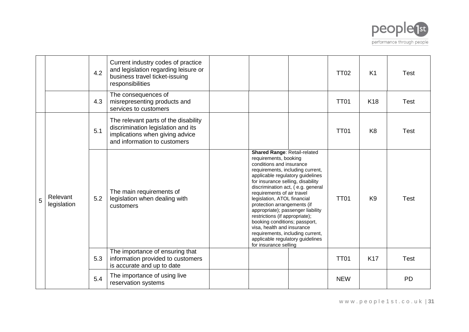

|   |                         | 4.2 | Current industry codes of practice<br>and legislation regarding leisure or<br>business travel ticket-issuing<br>responsibilities              |                                                                                                                                                                                                                                                                                                                                                                                                                                                                                                                                                                        | <b>TT02</b> | K <sub>1</sub>  | <b>Test</b> |
|---|-------------------------|-----|-----------------------------------------------------------------------------------------------------------------------------------------------|------------------------------------------------------------------------------------------------------------------------------------------------------------------------------------------------------------------------------------------------------------------------------------------------------------------------------------------------------------------------------------------------------------------------------------------------------------------------------------------------------------------------------------------------------------------------|-------------|-----------------|-------------|
|   |                         | 4.3 | The consequences of<br>misrepresenting products and<br>services to customers                                                                  |                                                                                                                                                                                                                                                                                                                                                                                                                                                                                                                                                                        | <b>TT01</b> | K <sub>18</sub> | <b>Test</b> |
|   |                         | 5.1 | The relevant parts of the disability<br>discrimination legislation and its<br>implications when giving advice<br>and information to customers |                                                                                                                                                                                                                                                                                                                                                                                                                                                                                                                                                                        | <b>TT01</b> | K <sub>8</sub>  | <b>Test</b> |
| 5 | Relevant<br>legislation | 5.2 | The main requirements of<br>legislation when dealing with<br>customers                                                                        | Shared Range: Retail-related<br>requirements, booking<br>conditions and insurance<br>requirements, including current,<br>applicable regulatory guidelines<br>for insurance selling, disability<br>discrimination act, (e.g. general<br>requirements of air travel<br>legislation, ATOL financial<br>protection arrangements (if<br>appropriate); passenger liability<br>restrictions (if appropriate);<br>booking conditions; passport,<br>visa, health and insurance<br>requirements, including current,<br>applicable regulatory guidelines<br>for insurance selling | <b>TT01</b> | K <sub>9</sub>  | <b>Test</b> |
|   |                         | 5.3 | The importance of ensuring that<br>information provided to customers<br>is accurate and up to date                                            |                                                                                                                                                                                                                                                                                                                                                                                                                                                                                                                                                                        | <b>TT01</b> | <b>K17</b>      | <b>Test</b> |
|   |                         | 5.4 | The importance of using live<br>reservation systems                                                                                           |                                                                                                                                                                                                                                                                                                                                                                                                                                                                                                                                                                        | <b>NEW</b>  |                 | <b>PD</b>   |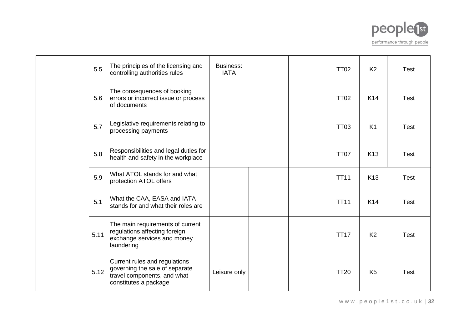

| 5.5  | The principles of the licensing and<br>controlling authorities rules                                                    | Business:<br><b>IATA</b> |  | <b>TT02</b> | K <sub>2</sub>  | <b>Test</b> |
|------|-------------------------------------------------------------------------------------------------------------------------|--------------------------|--|-------------|-----------------|-------------|
| 5.6  | The consequences of booking<br>errors or incorrect issue or process<br>of documents                                     |                          |  | <b>TT02</b> | K <sub>14</sub> | <b>Test</b> |
| 5.7  | Legislative requirements relating to<br>processing payments                                                             |                          |  | <b>TT03</b> | K1              | Test        |
| 5.8  | Responsibilities and legal duties for<br>health and safety in the workplace                                             |                          |  | <b>TT07</b> | K <sub>13</sub> | <b>Test</b> |
| 5.9  | What ATOL stands for and what<br>protection ATOL offers                                                                 |                          |  | <b>TT11</b> | K <sub>13</sub> | <b>Test</b> |
| 5.1  | What the CAA, EASA and IATA<br>stands for and what their roles are                                                      |                          |  | <b>TT11</b> | K <sub>14</sub> | <b>Test</b> |
| 5.11 | The main requirements of current<br>regulations affecting foreign<br>exchange services and money<br>laundering          |                          |  | <b>TT17</b> | K <sub>2</sub>  | <b>Test</b> |
| 5.12 | Current rules and regulations<br>governing the sale of separate<br>travel components, and what<br>constitutes a package | Leisure only             |  | <b>TT20</b> | K <sub>5</sub>  | <b>Test</b> |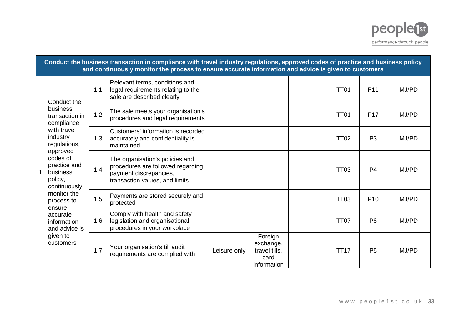

|              |                                                                                                                        |     | Conduct the business transaction in compliance with travel industry regulations, approved codes of practice and business policy<br>and continuously monitor the process to ensure accurate information and advice is given to customers |              |                                                              |             |                 |       |
|--------------|------------------------------------------------------------------------------------------------------------------------|-----|-----------------------------------------------------------------------------------------------------------------------------------------------------------------------------------------------------------------------------------------|--------------|--------------------------------------------------------------|-------------|-----------------|-------|
| $\mathbf{1}$ | Conduct the                                                                                                            | 1.1 | Relevant terms, conditions and<br>legal requirements relating to the<br>sale are described clearly                                                                                                                                      |              |                                                              | <b>TT01</b> | P <sub>11</sub> | MJ/PD |
|              | business<br>transaction in<br>compliance                                                                               | 1.2 | The sale meets your organisation's<br>procedures and legal requirements                                                                                                                                                                 |              |                                                              | <b>TT01</b> | <b>P17</b>      | MJ/PD |
|              | with travel<br>industry<br>regulations,<br>approved<br>codes of<br>practice and<br>business<br>policy,<br>continuously | 1.3 | Customers' information is recorded<br>accurately and confidentiality is<br>maintained                                                                                                                                                   |              |                                                              | <b>TT02</b> | P <sub>3</sub>  | MJ/PD |
|              |                                                                                                                        | 1.4 | The organisation's policies and<br>procedures are followed regarding<br>payment discrepancies,<br>transaction values, and limits                                                                                                        |              |                                                              | <b>TT03</b> | P <sub>4</sub>  | MJ/PD |
|              | monitor the<br>process to<br>ensure                                                                                    | 1.5 | Payments are stored securely and<br>protected                                                                                                                                                                                           |              |                                                              | <b>TT03</b> | P <sub>10</sub> | MJ/PD |
|              | accurate<br>information<br>and advice is<br>given to<br>customers                                                      | 1.6 | Comply with health and safety<br>legislation and organisational<br>procedures in your workplace                                                                                                                                         |              |                                                              | <b>TT07</b> | P <sub>8</sub>  | MJ/PD |
|              |                                                                                                                        | 1.7 | Your organisation's till audit<br>requirements are complied with                                                                                                                                                                        | Leisure only | Foreign<br>exchange,<br>travel tills.<br>card<br>information | <b>TT17</b> | P <sub>5</sub>  | MJ/PD |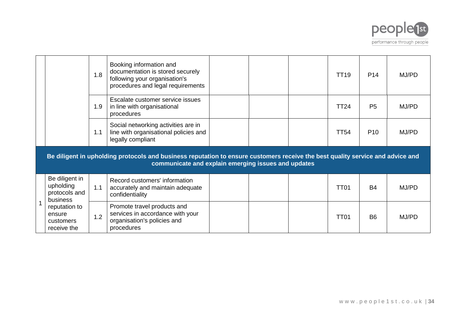

|              |                                                          | 1.8 | Booking information and<br>documentation is stored securely<br>following your organisation's<br>procedures and legal requirements                                                     |  | <b>TT19</b> | P <sub>14</sub> | MJ/PD |
|--------------|----------------------------------------------------------|-----|---------------------------------------------------------------------------------------------------------------------------------------------------------------------------------------|--|-------------|-----------------|-------|
|              |                                                          | 1.9 | Escalate customer service issues<br>in line with organisational<br>procedures                                                                                                         |  | <b>TT24</b> | P <sub>5</sub>  | MJ/PD |
|              |                                                          | 1.1 | Social networking activities are in<br>line with organisational policies and<br>legally compliant                                                                                     |  | <b>TT54</b> | P <sub>10</sub> | MJ/PD |
|              |                                                          |     | Be diligent in upholding protocols and business reputation to ensure customers receive the best quality service and advice and<br>communicate and explain emerging issues and updates |  |             |                 |       |
|              | Be diligent in<br>upholding<br>protocols and<br>business | 1.1 | Record customers' information<br>accurately and maintain adequate<br>confidentiality                                                                                                  |  | <b>TT01</b> | <b>B4</b>       | MJ/PD |
| $\mathbf{1}$ | reputation to<br>ensure<br>customers<br>receive the      | 1.2 | Promote travel products and<br>services in accordance with your<br>organisation's policies and<br>procedures                                                                          |  | <b>TT01</b> | B <sub>6</sub>  | MJ/PD |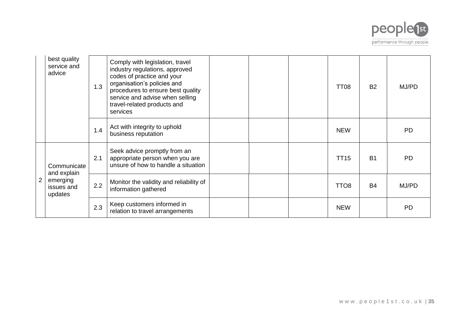

|                | best quality<br>service and<br>advice                           | 1.3 | Comply with legislation, travel<br>industry regulations, approved<br>codes of practice and your<br>organisation's policies and<br>procedures to ensure best quality<br>service and advise when selling<br>travel-related products and<br>services |  | TT <sub>08</sub> | <b>B2</b> | MJ/PD     |
|----------------|-----------------------------------------------------------------|-----|---------------------------------------------------------------------------------------------------------------------------------------------------------------------------------------------------------------------------------------------------|--|------------------|-----------|-----------|
|                |                                                                 | 1.4 | Act with integrity to uphold<br>business reputation                                                                                                                                                                                               |  | <b>NEW</b>       |           | <b>PD</b> |
| $\overline{2}$ | Communicate<br>and explain<br>emerging<br>issues and<br>updates | 2.1 | Seek advice promptly from an<br>appropriate person when you are<br>unsure of how to handle a situation                                                                                                                                            |  | <b>TT15</b>      | <b>B1</b> | <b>PD</b> |
|                |                                                                 | 2.2 | Monitor the validity and reliability of<br>information gathered                                                                                                                                                                                   |  | TTO <sub>8</sub> | <b>B4</b> | MJ/PD     |
|                |                                                                 | 2.3 | Keep customers informed in<br>relation to travel arrangements                                                                                                                                                                                     |  | <b>NEW</b>       |           | <b>PD</b> |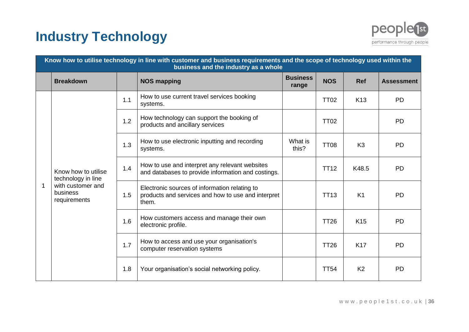# **Industry Technology**



|   | Know how to utilise technology in line with customer and business requirements and the scope of technology used within the<br>business and the industry as a whole |     |                                                                                                              |                          |             |                 |                   |  |  |  |  |  |
|---|--------------------------------------------------------------------------------------------------------------------------------------------------------------------|-----|--------------------------------------------------------------------------------------------------------------|--------------------------|-------------|-----------------|-------------------|--|--|--|--|--|
|   | <b>Breakdown</b>                                                                                                                                                   |     | <b>NOS mapping</b>                                                                                           | <b>Business</b><br>range | <b>NOS</b>  | <b>Ref</b>      | <b>Assessment</b> |  |  |  |  |  |
|   |                                                                                                                                                                    | 1.1 | How to use current travel services booking<br>systems.                                                       |                          | <b>TT02</b> | K <sub>13</sub> | <b>PD</b>         |  |  |  |  |  |
|   | Know how to utilise<br>technology in line<br>with customer and<br>business<br>requirements                                                                         | 1.2 | How technology can support the booking of<br>products and ancillary services                                 |                          | <b>TT02</b> |                 | <b>PD</b>         |  |  |  |  |  |
|   |                                                                                                                                                                    | 1.3 | How to use electronic inputting and recording<br>systems.                                                    | What is<br>this?         | <b>TT08</b> | K <sub>3</sub>  | <b>PD</b>         |  |  |  |  |  |
|   |                                                                                                                                                                    | 1.4 | How to use and interpret any relevant websites<br>and databases to provide information and costings.         |                          | <b>TT12</b> | K48.5           | <b>PD</b>         |  |  |  |  |  |
| 1 |                                                                                                                                                                    | 1.5 | Electronic sources of information relating to<br>products and services and how to use and interpret<br>them. |                          | <b>TT13</b> | K <sub>1</sub>  | <b>PD</b>         |  |  |  |  |  |
|   |                                                                                                                                                                    | 1.6 | How customers access and manage their own<br>electronic profile.                                             |                          | <b>TT26</b> | <b>K15</b>      | <b>PD</b>         |  |  |  |  |  |
|   |                                                                                                                                                                    | 1.7 | How to access and use your organisation's<br>computer reservation systems                                    |                          | <b>TT26</b> | <b>K17</b>      | <b>PD</b>         |  |  |  |  |  |
|   |                                                                                                                                                                    | 1.8 | Your organisation's social networking policy.                                                                |                          | <b>TT54</b> | K <sub>2</sub>  | <b>PD</b>         |  |  |  |  |  |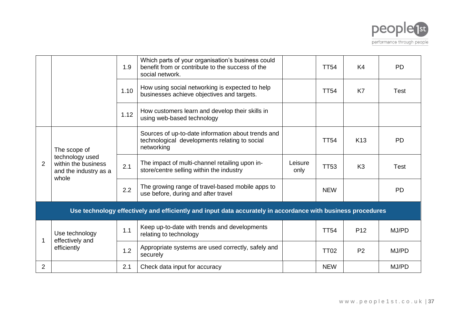

|                |                                                                                          | 1.9  | Which parts of your organisation's business could<br>benefit from or contribute to the success of the<br>social network. |                 | <b>TT54</b> | K <sub>4</sub>  | <b>PD</b>   |
|----------------|------------------------------------------------------------------------------------------|------|--------------------------------------------------------------------------------------------------------------------------|-----------------|-------------|-----------------|-------------|
|                |                                                                                          | 1.10 | How using social networking is expected to help<br>businesses achieve objectives and targets.                            |                 | <b>TT54</b> | K7              | <b>Test</b> |
|                |                                                                                          | 1.12 | How customers learn and develop their skills in<br>using web-based technology                                            |                 |             |                 |             |
|                | The scope of<br>technology used<br>within the business<br>and the industry as a<br>whole |      | Sources of up-to-date information about trends and<br>technological developments relating to social<br>networking        |                 | <b>TT54</b> | K <sub>13</sub> | <b>PD</b>   |
| 2              |                                                                                          | 2.1  | The impact of multi-channel retailing upon in-<br>store/centre selling within the industry                               | Leisure<br>only | <b>TT53</b> | K <sub>3</sub>  | <b>Test</b> |
|                |                                                                                          | 2.2  | The growing range of travel-based mobile apps to<br>use before, during and after travel                                  |                 | <b>NEW</b>  |                 | <b>PD</b>   |
|                |                                                                                          |      | Use technology effectively and efficiently and input data accurately in accordance with business procedures              |                 |             |                 |             |
|                | Use technology<br>effectively and                                                        | 1.1  | Keep up-to-date with trends and developments<br>relating to technology                                                   |                 | <b>TT54</b> | P <sub>12</sub> | MJ/PD       |
|                | efficiently                                                                              | 1.2  | Appropriate systems are used correctly, safely and<br>securely                                                           |                 | <b>TT02</b> | P <sub>2</sub>  | MJ/PD       |
| $\overline{2}$ |                                                                                          | 2.1  | Check data input for accuracy                                                                                            |                 | <b>NEW</b>  |                 | MJ/PD       |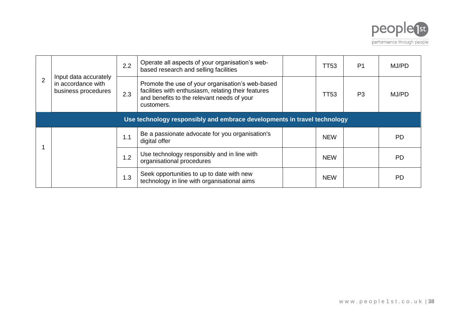

|  | Input data accurately<br>in accordance with<br>business procedures       | 2.2 | Operate all aspects of your organisation's web-<br>based research and selling facilities                                                                            |  | TT53       | P <sub>1</sub> | MJ/PD     |  |  |  |
|--|--------------------------------------------------------------------------|-----|---------------------------------------------------------------------------------------------------------------------------------------------------------------------|--|------------|----------------|-----------|--|--|--|
|  |                                                                          | 2.3 | Promote the use of your organisation's web-based<br>facilities with enthusiasm, relating their features<br>and benefits to the relevant needs of your<br>customers. |  | TT53       | P <sub>3</sub> | MJ/PD     |  |  |  |
|  | Use technology responsibly and embrace developments in travel technology |     |                                                                                                                                                                     |  |            |                |           |  |  |  |
|  |                                                                          | 1.1 | Be a passionate advocate for you organisation's<br>digital offer                                                                                                    |  | <b>NEW</b> |                | <b>PD</b> |  |  |  |
|  |                                                                          | 1.2 | Use technology responsibly and in line with<br>organisational procedures                                                                                            |  | <b>NEW</b> |                | <b>PD</b> |  |  |  |
|  |                                                                          | 1.3 | Seek opportunities to up to date with new<br>technology in line with organisational aims                                                                            |  | <b>NEW</b> |                | <b>PD</b> |  |  |  |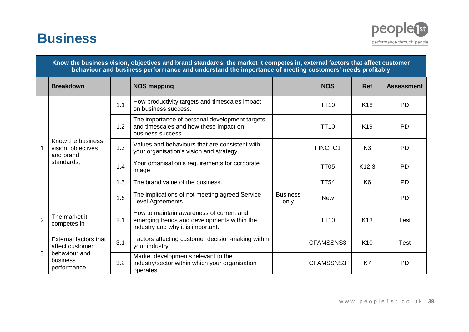# **Business**



|                | Know the business vision, objectives and brand standards, the market it competes in, external factors that affect customer<br>behaviour and business performance and understand the importance of meeting customers' needs profitably |     |                                                                                                                              |                         |             |                 |                   |  |  |  |  |  |  |
|----------------|---------------------------------------------------------------------------------------------------------------------------------------------------------------------------------------------------------------------------------------|-----|------------------------------------------------------------------------------------------------------------------------------|-------------------------|-------------|-----------------|-------------------|--|--|--|--|--|--|
|                | <b>Breakdown</b>                                                                                                                                                                                                                      |     | <b>NOS mapping</b>                                                                                                           |                         | <b>NOS</b>  | <b>Ref</b>      | <b>Assessment</b> |  |  |  |  |  |  |
|                | Know the business<br>vision, objectives<br>and brand<br>standards,                                                                                                                                                                    | 1.1 | How productivity targets and timescales impact<br>on business success.                                                       |                         | <b>TT10</b> | K <sub>18</sub> | <b>PD</b>         |  |  |  |  |  |  |
| $\mathbf{1}$   |                                                                                                                                                                                                                                       | 1.2 | The importance of personal development targets<br>and timescales and how these impact on<br>business success.                |                         | <b>TT10</b> | K <sub>19</sub> | <b>PD</b>         |  |  |  |  |  |  |
|                |                                                                                                                                                                                                                                       | 1.3 | Values and behaviours that are consistent with<br>your organisation's vision and strategy.                                   |                         | FINCFC1     | K <sub>3</sub>  | <b>PD</b>         |  |  |  |  |  |  |
|                |                                                                                                                                                                                                                                       | 1.4 | Your organisation's requirements for corporate<br>image                                                                      |                         | <b>TT05</b> | K12.3           | <b>PD</b>         |  |  |  |  |  |  |
|                |                                                                                                                                                                                                                                       | 1.5 | The brand value of the business.                                                                                             |                         | <b>TT54</b> | K <sub>6</sub>  | <b>PD</b>         |  |  |  |  |  |  |
|                |                                                                                                                                                                                                                                       | 1.6 | The implications of not meeting agreed Service<br><b>Level Agreements</b>                                                    | <b>Business</b><br>only | <b>New</b>  |                 | <b>PD</b>         |  |  |  |  |  |  |
| $\overline{2}$ | The market it<br>competes in                                                                                                                                                                                                          | 2.1 | How to maintain awareness of current and<br>emerging trends and developments within the<br>industry and why it is important. |                         | <b>TT10</b> | K <sub>13</sub> | <b>Test</b>       |  |  |  |  |  |  |
|                | <b>External factors that</b><br>affect customer                                                                                                                                                                                       | 3.1 | Factors affecting customer decision-making within<br>your industry.                                                          |                         | CFAMSSNS3   | K <sub>10</sub> | <b>Test</b>       |  |  |  |  |  |  |
| 3              | behaviour and<br>business<br>performance                                                                                                                                                                                              | 3.2 | Market developments relevant to the<br>industry/sector within which your organisation<br>operates.                           |                         | CFAMSSNS3   | K7              | <b>PD</b>         |  |  |  |  |  |  |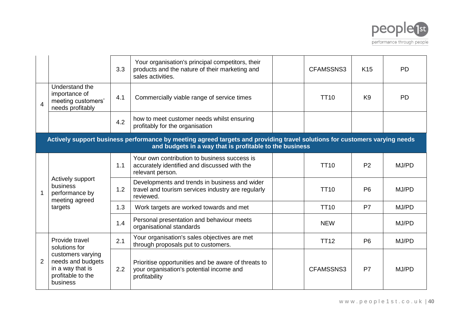

|                |                                                                                                                                                                                       | 3.3 | Your organisation's principal competitors, their<br>products and the nature of their marketing and<br>sales activities. |  | CFAMSSNS3   | K <sub>15</sub> | <b>PD</b> |  |
|----------------|---------------------------------------------------------------------------------------------------------------------------------------------------------------------------------------|-----|-------------------------------------------------------------------------------------------------------------------------|--|-------------|-----------------|-----------|--|
| $\overline{4}$ | Understand the<br>importance of<br>meeting customers'<br>needs profitably                                                                                                             | 4.1 | Commercially viable range of service times                                                                              |  | <b>TT10</b> | K <sub>9</sub>  | PD        |  |
|                |                                                                                                                                                                                       | 4.2 | how to meet customer needs whilst ensuring<br>profitably for the organisation                                           |  |             |                 |           |  |
|                | Actively support business performance by meeting agreed targets and providing travel solutions for customers varying needs<br>and budgets in a way that is profitable to the business |     |                                                                                                                         |  |             |                 |           |  |
|                | Actively support<br>business<br>performance by<br>meeting agreed                                                                                                                      | 1.1 | Your own contribution to business success is<br>accurately identified and discussed with the<br>relevant person.        |  | <b>TT10</b> | P <sub>2</sub>  | MJ/PD     |  |
|                |                                                                                                                                                                                       | 1.2 | Developments and trends in business and wider<br>travel and tourism services industry are regularly<br>reviewed.        |  | <b>TT10</b> | P <sub>6</sub>  | MJ/PD     |  |
|                | targets                                                                                                                                                                               | 1.3 | Work targets are worked towards and met                                                                                 |  | <b>TT10</b> | <b>P7</b>       | MJ/PD     |  |
|                |                                                                                                                                                                                       | 1.4 | Personal presentation and behaviour meets<br>organisational standards                                                   |  | <b>NEW</b>  |                 | MJ/PD     |  |
|                | Provide travel<br>solutions for                                                                                                                                                       | 2.1 | Your organisation's sales objectives are met<br>through proposals put to customers.                                     |  | <b>TT12</b> | P <sub>6</sub>  | MJ/PD     |  |
|                | customers varying<br>needs and budgets<br>in a way that is<br>profitable to the<br>business                                                                                           | 2.2 | Prioritise opportunities and be aware of threats to<br>your organisation's potential income and<br>profitability        |  | CFAMSSNS3   | P7              | MJ/PD     |  |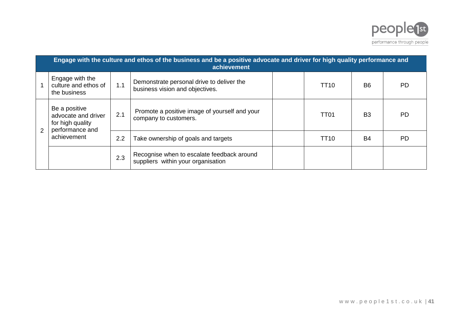

|   | Engage with the culture and ethos of the business and be a positive advocate and driver for high quality performance and<br>achievement |     |                                                                                  |  |                  |                |           |  |  |  |  |
|---|-----------------------------------------------------------------------------------------------------------------------------------------|-----|----------------------------------------------------------------------------------|--|------------------|----------------|-----------|--|--|--|--|
|   | Engage with the<br>culture and ethos of<br>the business                                                                                 | 1.1 | Demonstrate personal drive to deliver the<br>business vision and objectives.     |  | TT10             | B <sub>6</sub> | РD        |  |  |  |  |
| 2 | Be a positive<br>advocate and driver<br>for high quality<br>performance and<br>achievement                                              | 2.1 | Promote a positive image of yourself and your<br>company to customers.           |  | TT <sub>01</sub> | <b>B3</b>      | <b>PD</b> |  |  |  |  |
|   |                                                                                                                                         | 2.2 | Take ownership of goals and targets                                              |  | TT10             | B4             | <b>PD</b> |  |  |  |  |
|   |                                                                                                                                         | 2.3 | Recognise when to escalate feedback around<br>suppliers within your organisation |  |                  |                |           |  |  |  |  |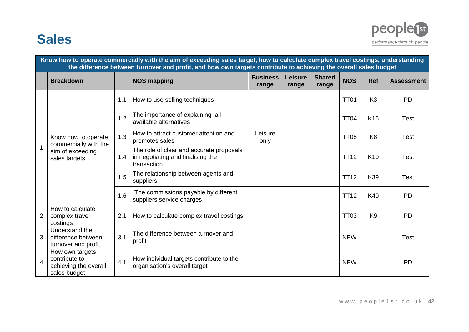## **Sales**



|   | Know how to operate commercially with the aim of exceeding sales target, how to calculate complex travel costings, understanding<br>the difference between turnover and profit, and how own targets contribute to achieving the overall sales budget |     |                                                                                              |                          |                         |                        |             |                 |                   |  |  |  |
|---|------------------------------------------------------------------------------------------------------------------------------------------------------------------------------------------------------------------------------------------------------|-----|----------------------------------------------------------------------------------------------|--------------------------|-------------------------|------------------------|-------------|-----------------|-------------------|--|--|--|
|   | <b>Breakdown</b>                                                                                                                                                                                                                                     |     | <b>NOS mapping</b>                                                                           | <b>Business</b><br>range | <b>Leisure</b><br>range | <b>Shared</b><br>range | <b>NOS</b>  | <b>Ref</b>      | <b>Assessment</b> |  |  |  |
|   |                                                                                                                                                                                                                                                      | 1.1 | How to use selling techniques                                                                |                          |                         |                        | <b>TT01</b> | K <sub>3</sub>  | <b>PD</b>         |  |  |  |
|   |                                                                                                                                                                                                                                                      | 1.2 | The importance of explaining all<br>available alternatives                                   |                          |                         |                        | <b>TT04</b> | K16             | <b>Test</b>       |  |  |  |
|   | Know how to operate<br>commercially with the                                                                                                                                                                                                         | 1.3 | How to attract customer attention and<br>promotes sales                                      | Leisure<br>only          |                         |                        | <b>TT05</b> | K <sub>8</sub>  | Test              |  |  |  |
|   | aim of exceeding<br>sales targets                                                                                                                                                                                                                    | 1.4 | The role of clear and accurate proposals<br>in negotiating and finalising the<br>transaction |                          |                         |                        | <b>TT12</b> | K <sub>10</sub> | <b>Test</b>       |  |  |  |
|   |                                                                                                                                                                                                                                                      | 1.5 | The relationship between agents and<br>suppliers                                             |                          |                         |                        | <b>TT12</b> | K39             | <b>Test</b>       |  |  |  |
|   |                                                                                                                                                                                                                                                      | 1.6 | The commissions payable by different<br>suppliers service charges                            |                          |                         |                        | <b>TT12</b> | K40             | <b>PD</b>         |  |  |  |
| 2 | How to calculate<br>complex travel<br>costings                                                                                                                                                                                                       | 2.1 | How to calculate complex travel costings                                                     |                          |                         |                        | <b>TT03</b> | K <sub>9</sub>  | <b>PD</b>         |  |  |  |
| 3 | Understand the<br>difference between<br>turnover and profit                                                                                                                                                                                          | 3.1 | The difference between turnover and<br>profit                                                |                          |                         |                        | <b>NEW</b>  |                 | <b>Test</b>       |  |  |  |
| 4 | How own targets<br>contribute to<br>achieving the overall<br>sales budget                                                                                                                                                                            | 4.1 | How individual targets contribute to the<br>organisation's overall target                    |                          |                         |                        | <b>NEW</b>  |                 | <b>PD</b>         |  |  |  |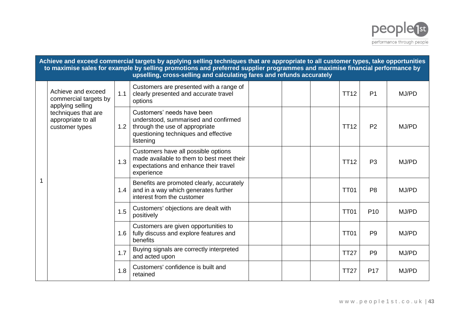

|   | Achieve and exceed commercial targets by applying selling techniques that are appropriate to all customer types, take opportunities<br>to maximise sales for example by selling promotions and preferred supplier programmes and maximise financial performance by<br>upselling, cross-selling and calculating fares and refunds accurately |     |                                                                                                                                                           |  |  |  |             |                 |       |  |  |
|---|---------------------------------------------------------------------------------------------------------------------------------------------------------------------------------------------------------------------------------------------------------------------------------------------------------------------------------------------|-----|-----------------------------------------------------------------------------------------------------------------------------------------------------------|--|--|--|-------------|-----------------|-------|--|--|
|   | Achieve and exceed<br>commercial targets by<br>applying selling                                                                                                                                                                                                                                                                             | 1.1 | Customers are presented with a range of<br>clearly presented and accurate travel<br>options                                                               |  |  |  | <b>TT12</b> | P <sub>1</sub>  | MJ/PD |  |  |
|   | techniques that are<br>appropriate to all<br>customer types                                                                                                                                                                                                                                                                                 | 1.2 | Customers' needs have been<br>understood, summarised and confirmed<br>through the use of appropriate<br>questioning techniques and effective<br>listening |  |  |  | <b>TT12</b> | P <sub>2</sub>  | MJ/PD |  |  |
|   |                                                                                                                                                                                                                                                                                                                                             | 1.3 | Customers have all possible options<br>made available to them to best meet their<br>expectations and enhance their travel<br>experience                   |  |  |  | <b>TT12</b> | P <sub>3</sub>  | MJ/PD |  |  |
| 1 |                                                                                                                                                                                                                                                                                                                                             | 1.4 | Benefits are promoted clearly, accurately<br>and in a way which generates further<br>interest from the customer                                           |  |  |  | <b>TT01</b> | P <sub>8</sub>  | MJ/PD |  |  |
|   |                                                                                                                                                                                                                                                                                                                                             | 1.5 | Customers' objections are dealt with<br>positively                                                                                                        |  |  |  | <b>TT01</b> | P <sub>10</sub> | MJ/PD |  |  |
|   |                                                                                                                                                                                                                                                                                                                                             | 1.6 | Customers are given opportunities to<br>fully discuss and explore features and<br>benefits                                                                |  |  |  | <b>TT01</b> | P <sub>9</sub>  | MJ/PD |  |  |
|   |                                                                                                                                                                                                                                                                                                                                             | 1.7 | Buying signals are correctly interpreted<br>and acted upon                                                                                                |  |  |  | <b>TT27</b> | P <sub>9</sub>  | MJ/PD |  |  |
|   |                                                                                                                                                                                                                                                                                                                                             | 1.8 | Customers' confidence is built and<br>retained                                                                                                            |  |  |  | <b>TT27</b> | P <sub>17</sub> | MJ/PD |  |  |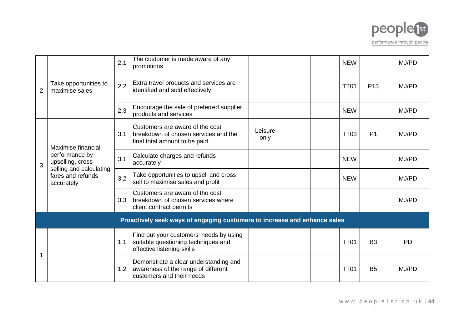

|                |                                                                                                                         | 2.1 | The customer is made aware of any<br>promotions                                                              |                 |  | <b>NEW</b>  |                 | MJ/PD     |
|----------------|-------------------------------------------------------------------------------------------------------------------------|-----|--------------------------------------------------------------------------------------------------------------|-----------------|--|-------------|-----------------|-----------|
| $\overline{2}$ | Take opportunities to<br>maximise sales                                                                                 | 2.2 | Extra travel products and services are<br>identified and sold effectively                                    |                 |  | <b>TT01</b> | P <sub>13</sub> | MJ/PD     |
|                |                                                                                                                         | 2.3 | Encourage the sale of preferred supplier<br>products and services                                            |                 |  | <b>NEW</b>  |                 | MJ/PD     |
|                | Maximise financial<br>performance by<br>upselling, cross-<br>selling and calculating<br>fares and refunds<br>accurately | 3.1 | Customers are aware of the cost<br>breakdown of chosen services and the<br>final total amount to be paid     | Leisure<br>only |  | <b>TT03</b> | P <sub>1</sub>  | MJ/PD     |
| 3              |                                                                                                                         | 3.1 | Calculate charges and refunds<br>accurately                                                                  |                 |  | <b>NEW</b>  |                 | MJ/PD     |
|                |                                                                                                                         | 3.2 | Take opportunities to upsell and cross<br>sell to maximise sales and profit                                  |                 |  | <b>NEW</b>  |                 | MJ/PD     |
|                |                                                                                                                         | 3.3 | Customers are aware of the cost<br>breakdown of chosen services where<br>client contract permits             |                 |  |             |                 | MJ/PD     |
|                |                                                                                                                         |     | Proactively seek ways of engaging customers to increase and enhance sales                                    |                 |  |             |                 |           |
|                |                                                                                                                         | 1.1 | Find out your customers' needs by using<br>suitable questioning techniques and<br>effective listening skills |                 |  | <b>TT01</b> | B <sub>3</sub>  | <b>PD</b> |
|                |                                                                                                                         | 1.2 | Demonstrate a clear understanding and<br>awareness of the range of different<br>customers and their needs    |                 |  | <b>TT01</b> | <b>B5</b>       | MJ/PD     |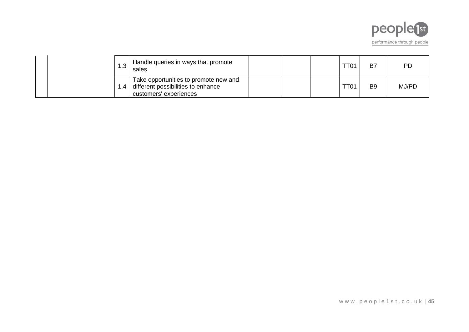

| ن. ا  | Handle queries in ways that promote<br>sales                                                          |  | TT01 | B7             | РD    |
|-------|-------------------------------------------------------------------------------------------------------|--|------|----------------|-------|
| 1.4 I | Take opportunities to promote new and<br>different possibilities to enhance<br>customers' experiences |  | TT01 | B <sub>9</sub> | MJ/PD |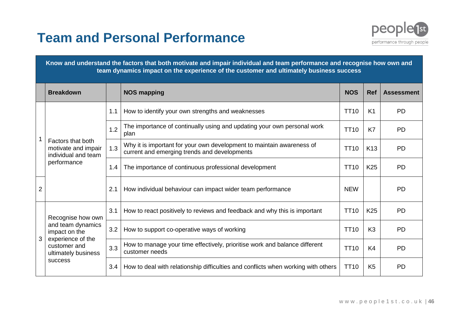# **Team and Personal Performance**



| Know and understand the factors that both motivate and impair individual and team performance and recognise how own and |  |
|-------------------------------------------------------------------------------------------------------------------------|--|
| $\,$ team dynamics impact on the experience of the customer and ultimately business success $\,$                        |  |

|                | <b>Breakdown</b>                                                           |     | <b>NOS mapping</b>                                                                                                    | <b>NOS</b>       | <b>Ref</b>      | <b>Assessment</b> |
|----------------|----------------------------------------------------------------------------|-----|-----------------------------------------------------------------------------------------------------------------------|------------------|-----------------|-------------------|
|                |                                                                            | 1.1 | How to identify your own strengths and weaknesses                                                                     | TT <sub>10</sub> | K <sub>1</sub>  | <b>PD</b>         |
|                |                                                                            | 1.2 | The importance of continually using and updating your own personal work<br>plan                                       | <b>TT10</b>      | K7              | <b>PD</b>         |
|                | Factors that both<br>motivate and impair<br>individual and team            | 1.3 | Why it is important for your own development to maintain awareness of<br>current and emerging trends and developments | <b>TT10</b>      | K <sub>13</sub> | <b>PD</b>         |
|                | performance                                                                | 1.4 | The importance of continuous professional development                                                                 | TT <sub>10</sub> | K <sub>25</sub> | <b>PD</b>         |
| $\overline{2}$ |                                                                            | 2.1 | How individual behaviour can impact wider team performance                                                            | <b>NEW</b>       |                 | <b>PD</b>         |
|                | Recognise how own                                                          | 3.1 | How to react positively to reviews and feedback and why this is important                                             | <b>TT10</b>      | K <sub>25</sub> | <b>PD</b>         |
|                | and team dynamics<br>impact on the                                         | 3.2 | How to support co-operative ways of working                                                                           | <b>TT10</b>      | K <sub>3</sub>  | <b>PD</b>         |
| 3              | experience of the<br>customer and<br>ultimately business<br><b>SUCCESS</b> | 3.3 | How to manage your time effectively, prioritise work and balance different<br>customer needs                          | <b>TT10</b>      | K <sub>4</sub>  | <b>PD</b>         |
|                |                                                                            | 3.4 | How to deal with relationship difficulties and conflicts when working with others                                     | TT <sub>10</sub> | K <sub>5</sub>  | <b>PD</b>         |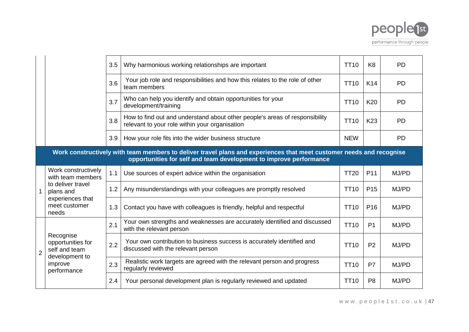

|                |                                                                                                                                                                                            | 3.5 | Why harmonious working relationships are important                                                                            | <b>TT10</b> | K <sub>8</sub>  | <b>PD</b> |  |  |  |  |
|----------------|--------------------------------------------------------------------------------------------------------------------------------------------------------------------------------------------|-----|-------------------------------------------------------------------------------------------------------------------------------|-------------|-----------------|-----------|--|--|--|--|
|                |                                                                                                                                                                                            | 3.6 | Your job role and responsibilities and how this relates to the role of other<br>team members                                  | <b>TT10</b> | K14             | <b>PD</b> |  |  |  |  |
|                |                                                                                                                                                                                            | 3.7 | Who can help you identify and obtain opportunities for your<br>development/training                                           | <b>TT10</b> | K20             | <b>PD</b> |  |  |  |  |
|                |                                                                                                                                                                                            | 3.8 | How to find out and understand about other people's areas of responsibility<br>relevant to your role within your organisation | <b>TT10</b> | K <sub>23</sub> | <b>PD</b> |  |  |  |  |
|                |                                                                                                                                                                                            | 3.9 | How your role fits into the wider business structure                                                                          | <b>NEW</b>  |                 | <b>PD</b> |  |  |  |  |
|                | Work constructively with team members to deliver travel plans and experiences that meet customer needs and recognise<br>opportunities for self and team development to improve performance |     |                                                                                                                               |             |                 |           |  |  |  |  |
|                | Work constructively<br>with team members<br>to deliver travel<br>plans and<br>experiences that<br>meet customer<br>needs                                                                   | 1.1 | Use sources of expert advice within the organisation                                                                          | <b>TT20</b> | P <sub>11</sub> | MJ/PD     |  |  |  |  |
|                |                                                                                                                                                                                            | 1.2 | Any misunderstandings with your colleagues are promptly resolved                                                              | <b>TT10</b> | P <sub>15</sub> | MJ/PD     |  |  |  |  |
|                |                                                                                                                                                                                            | 1.3 | Contact you have with colleagues is friendly, helpful and respectful                                                          | <b>TT10</b> | P <sub>16</sub> | MJ/PD     |  |  |  |  |
|                |                                                                                                                                                                                            | 2.1 | Your own strengths and weaknesses are accurately identified and discussed<br>with the relevant person                         | <b>TT10</b> | P <sub>1</sub>  | MJ/PD     |  |  |  |  |
| $\overline{2}$ | Recognise<br>opportunities for<br>self and team                                                                                                                                            | 2.2 | Your own contribution to business success is accurately identified and<br>discussed with the relevant person                  | <b>TT10</b> | P <sub>2</sub>  | MJ/PD     |  |  |  |  |
|                | development to<br>improve<br>performance                                                                                                                                                   | 2.3 | Realistic work targets are agreed with the relevant person and progress<br>regularly reviewed                                 | <b>TT10</b> | P <sub>7</sub>  | MJ/PD     |  |  |  |  |
|                |                                                                                                                                                                                            | 2.4 | Your personal development plan is regularly reviewed and updated                                                              | <b>TT10</b> | P <sub>8</sub>  | MJ/PD     |  |  |  |  |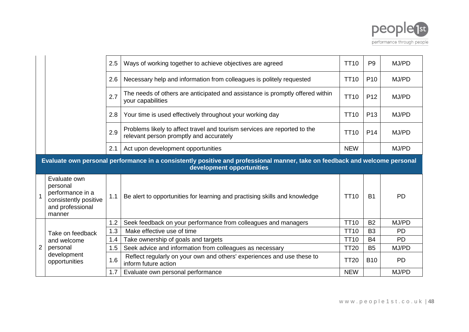

|                |                                                                                                                                                          | 2.5 | Ways of working together to achieve objectives are agreed                                                            | <b>TT10</b> | P <sub>9</sub>  | MJ/PD     |  |  |  |
|----------------|----------------------------------------------------------------------------------------------------------------------------------------------------------|-----|----------------------------------------------------------------------------------------------------------------------|-------------|-----------------|-----------|--|--|--|
|                |                                                                                                                                                          | 2.6 | Necessary help and information from colleagues is politely requested                                                 | <b>TT10</b> | P <sub>10</sub> | MJ/PD     |  |  |  |
|                |                                                                                                                                                          | 2.7 | The needs of others are anticipated and assistance is promptly offered within<br>your capabilities                   | <b>TT10</b> | P <sub>12</sub> | MJ/PD     |  |  |  |
|                |                                                                                                                                                          | 2.8 | Your time is used effectively throughout your working day                                                            | <b>TT10</b> | P <sub>13</sub> | MJ/PD     |  |  |  |
|                |                                                                                                                                                          | 2.9 | Problems likely to affect travel and tourism services are reported to the<br>relevant person promptly and accurately | <b>TT10</b> | P <sub>14</sub> | MJ/PD     |  |  |  |
|                |                                                                                                                                                          | 2.1 | Act upon development opportunities                                                                                   | <b>NEW</b>  |                 | MJ/PD     |  |  |  |
|                | Evaluate own personal performance in a consistently positive and professional manner, take on feedback and welcome personal<br>development opportunities |     |                                                                                                                      |             |                 |           |  |  |  |
|                | Evaluate own<br>personal<br>performance in a<br>consistently positive<br>and professional<br>manner                                                      | 1.1 | Be alert to opportunities for learning and practising skills and knowledge                                           | <b>TT10</b> | <b>B1</b>       | <b>PD</b> |  |  |  |
|                |                                                                                                                                                          | 1.2 | Seek feedback on your performance from colleagues and managers                                                       | <b>TT10</b> | <b>B2</b>       | MJ/PD     |  |  |  |
|                | Take on feedback<br>and welcome<br>personal<br>development<br>opportunities                                                                              | 1.3 | Make effective use of time                                                                                           | <b>TT10</b> | B <sub>3</sub>  | <b>PD</b> |  |  |  |
| $\overline{2}$ |                                                                                                                                                          | 1.4 | Take ownership of goals and targets                                                                                  | <b>TT10</b> | <b>B4</b>       | <b>PD</b> |  |  |  |
|                |                                                                                                                                                          | 1.5 | Seek advice and information from colleagues as necessary                                                             | <b>TT20</b> | <b>B5</b>       | MJ/PD     |  |  |  |
|                |                                                                                                                                                          | 1.6 | Reflect regularly on your own and others' experiences and use these to<br>inform future action                       | <b>TT20</b> | <b>B10</b>      | <b>PD</b> |  |  |  |
|                |                                                                                                                                                          | 1.7 | Evaluate own personal performance                                                                                    | <b>NEW</b>  |                 | MJ/PD     |  |  |  |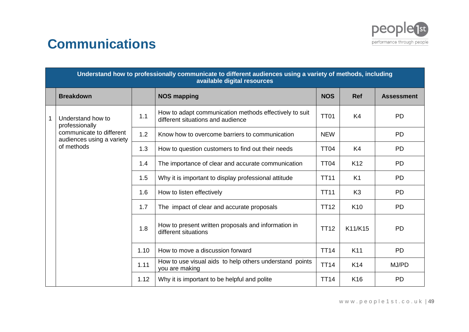

# **Communications**

|  | Understand how to professionally communicate to different audiences using a variety of methods, including<br>available digital resources |      |                                                                                             |             |                 |                   |  |  |  |
|--|------------------------------------------------------------------------------------------------------------------------------------------|------|---------------------------------------------------------------------------------------------|-------------|-----------------|-------------------|--|--|--|
|  | <b>Breakdown</b>                                                                                                                         |      | <b>NOS mapping</b>                                                                          | <b>NOS</b>  | <b>Ref</b>      | <b>Assessment</b> |  |  |  |
|  | Understand how to<br>professionally<br>communicate to different<br>audiences using a variety<br>of methods                               | 1.1  | How to adapt communication methods effectively to suit<br>different situations and audience | <b>TT01</b> | K <sub>4</sub>  | <b>PD</b>         |  |  |  |
|  |                                                                                                                                          | 1.2  | Know how to overcome barriers to communication                                              | <b>NEW</b>  |                 | <b>PD</b>         |  |  |  |
|  |                                                                                                                                          | 1.3  | How to question customers to find out their needs                                           | <b>TT04</b> | K4              | <b>PD</b>         |  |  |  |
|  |                                                                                                                                          | 1.4  | The importance of clear and accurate communication                                          | <b>TT04</b> | K <sub>12</sub> | <b>PD</b>         |  |  |  |
|  |                                                                                                                                          | 1.5  | Why it is important to display professional attitude                                        | <b>TT11</b> | K1              | <b>PD</b>         |  |  |  |
|  |                                                                                                                                          | 1.6  | How to listen effectively                                                                   | <b>TT11</b> | K <sub>3</sub>  | <b>PD</b>         |  |  |  |
|  |                                                                                                                                          | 1.7  | The impact of clear and accurate proposals                                                  | <b>TT12</b> | K <sub>10</sub> | <b>PD</b>         |  |  |  |
|  |                                                                                                                                          | 1.8  | How to present written proposals and information in<br>different situations                 | <b>TT12</b> | K11/K15         | <b>PD</b>         |  |  |  |
|  |                                                                                                                                          | 1.10 | How to move a discussion forward                                                            | <b>TT14</b> | K <sub>11</sub> | <b>PD</b>         |  |  |  |
|  |                                                                                                                                          | 1.11 | How to use visual aids to help others understand points<br>you are making                   | <b>TT14</b> | K14             | MJ/PD             |  |  |  |
|  |                                                                                                                                          | 1.12 | Why it is important to be helpful and polite                                                | <b>TT14</b> | K <sub>16</sub> | <b>PD</b>         |  |  |  |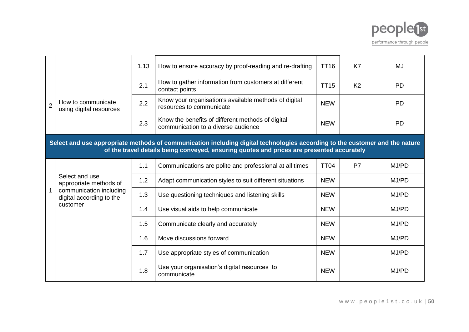

|   |                                                                                                                                                                                                                          | 1.13 | How to ensure accuracy by proof-reading and re-drafting                                  | <b>TT16</b> | K7             | MJ        |
|---|--------------------------------------------------------------------------------------------------------------------------------------------------------------------------------------------------------------------------|------|------------------------------------------------------------------------------------------|-------------|----------------|-----------|
|   | How to communicate<br>using digital resources                                                                                                                                                                            | 2.1  | How to gather information from customers at different<br>contact points                  | <b>TT15</b> | K <sub>2</sub> | <b>PD</b> |
| 2 |                                                                                                                                                                                                                          | 2.2  | Know your organisation's available methods of digital<br>resources to communicate        | <b>NEW</b>  |                | <b>PD</b> |
|   |                                                                                                                                                                                                                          | 2.3  | Know the benefits of different methods of digital<br>communication to a diverse audience | <b>NEW</b>  |                | <b>PD</b> |
|   | Select and use appropriate methods of communication including digital technologies according to the customer and the nature<br>of the travel details being conveyed, ensuring quotes and prices are presented accurately |      |                                                                                          |             |                |           |
|   |                                                                                                                                                                                                                          | 1.1  | Communications are polite and professional at all times                                  | <b>TT04</b> | P7             | MJ/PD     |
|   | Select and use<br>appropriate methods of<br>communication including<br>digital according to the<br>customer                                                                                                              | 1.2  | Adapt communication styles to suit different situations                                  | <b>NEW</b>  |                | MJ/PD     |
|   |                                                                                                                                                                                                                          | 1.3  | Use questioning techniques and listening skills                                          | <b>NEW</b>  |                | MJ/PD     |
|   |                                                                                                                                                                                                                          | 1.4  | Use visual aids to help communicate                                                      | <b>NEW</b>  |                | MJ/PD     |
|   |                                                                                                                                                                                                                          | 1.5  | Communicate clearly and accurately                                                       | <b>NEW</b>  |                | MJ/PD     |
|   |                                                                                                                                                                                                                          | 1.6  | Move discussions forward                                                                 | <b>NEW</b>  |                | MJ/PD     |
|   |                                                                                                                                                                                                                          | 1.7  | Use appropriate styles of communication                                                  | <b>NEW</b>  |                | MJ/PD     |
|   |                                                                                                                                                                                                                          | 1.8  | Use your organisation's digital resources to<br>communicate                              | <b>NEW</b>  |                | MJ/PD     |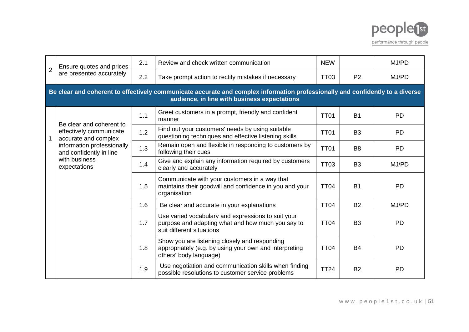

| $\overline{2}$ | Ensure quotes and prices                                                                                                                                                      | 2.1 | Review and check written communication                                                                                               | <b>NEW</b>  |                | MJ/PD     |  |  |  |
|----------------|-------------------------------------------------------------------------------------------------------------------------------------------------------------------------------|-----|--------------------------------------------------------------------------------------------------------------------------------------|-------------|----------------|-----------|--|--|--|
|                | are presented accurately                                                                                                                                                      | 2.2 | Take prompt action to rectify mistakes if necessary                                                                                  | <b>TT03</b> | P <sub>2</sub> | MJ/PD     |  |  |  |
|                | Be clear and coherent to effectively communicate accurate and complex information professionally and confidently to a diverse<br>audience, in line with business expectations |     |                                                                                                                                      |             |                |           |  |  |  |
|                |                                                                                                                                                                               | 1.1 | Greet customers in a prompt, friendly and confident<br>manner                                                                        | <b>TT01</b> | <b>B1</b>      | <b>PD</b> |  |  |  |
|                | Be clear and coherent to<br>effectively communicate<br>accurate and complex<br>information professionally<br>and confidently in line<br>with business<br>expectations         | 1.2 | Find out your customers' needs by using suitable<br>questioning techniques and effective listening skills                            | <b>TT01</b> | B <sub>3</sub> | <b>PD</b> |  |  |  |
|                |                                                                                                                                                                               | 1.3 | Remain open and flexible in responding to customers by<br>following their cues                                                       | <b>TT01</b> | B <sub>8</sub> | <b>PD</b> |  |  |  |
|                |                                                                                                                                                                               | 1.4 | Give and explain any information required by customers<br>clearly and accurately                                                     | <b>TT03</b> | B <sub>3</sub> | MJ/PD     |  |  |  |
|                |                                                                                                                                                                               | 1.5 | Communicate with your customers in a way that<br>maintains their goodwill and confidence in you and your<br>organisation             | <b>TT04</b> | <b>B1</b>      | <b>PD</b> |  |  |  |
|                |                                                                                                                                                                               | 1.6 | Be clear and accurate in your explanations                                                                                           | <b>TT04</b> | <b>B2</b>      | MJ/PD     |  |  |  |
|                |                                                                                                                                                                               | 1.7 | Use varied vocabulary and expressions to suit your<br>purpose and adapting what and how much you say to<br>suit different situations | <b>TT04</b> | B <sub>3</sub> | <b>PD</b> |  |  |  |
|                |                                                                                                                                                                               | 1.8 | Show you are listening closely and responding<br>appropriately (e.g. by using your own and interpreting<br>others' body language)    | <b>TT04</b> | <b>B4</b>      | <b>PD</b> |  |  |  |
|                |                                                                                                                                                                               | 1.9 | Use negotiation and communication skills when finding<br>possible resolutions to customer service problems                           | <b>TT24</b> | <b>B2</b>      | <b>PD</b> |  |  |  |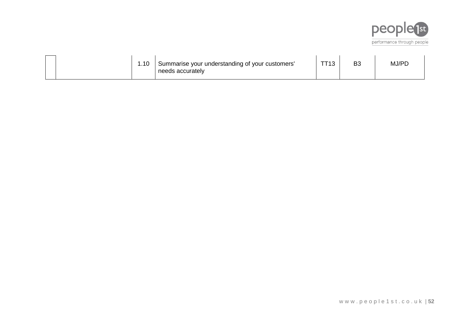

|  | .10 | Summarise your understanding of your customers'<br>needs accurately | TT40 | D'<br>D. | MJ/PD |
|--|-----|---------------------------------------------------------------------|------|----------|-------|
|  |     |                                                                     |      |          |       |